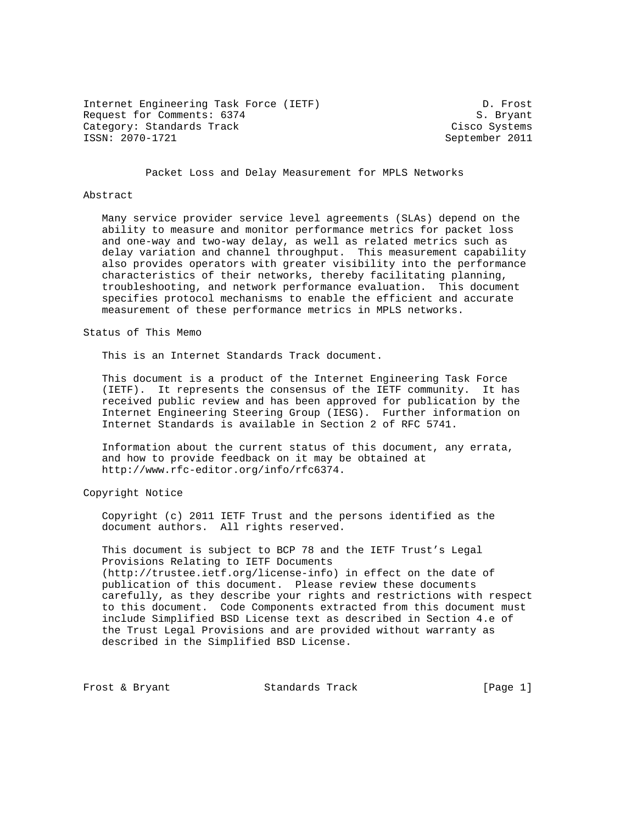Internet Engineering Task Force (IETF) D. Frost Request for Comments: 6374 S. Bryant Category: Standards Track Cisco Systems<br>
ISSN: 2070-1721<br>
September 2011

September 2011

Packet Loss and Delay Measurement for MPLS Networks

## Abstract

 Many service provider service level agreements (SLAs) depend on the ability to measure and monitor performance metrics for packet loss and one-way and two-way delay, as well as related metrics such as delay variation and channel throughput. This measurement capability also provides operators with greater visibility into the performance characteristics of their networks, thereby facilitating planning, troubleshooting, and network performance evaluation. This document specifies protocol mechanisms to enable the efficient and accurate measurement of these performance metrics in MPLS networks.

Status of This Memo

This is an Internet Standards Track document.

 This document is a product of the Internet Engineering Task Force (IETF). It represents the consensus of the IETF community. It has received public review and has been approved for publication by the Internet Engineering Steering Group (IESG). Further information on Internet Standards is available in Section 2 of RFC 5741.

 Information about the current status of this document, any errata, and how to provide feedback on it may be obtained at http://www.rfc-editor.org/info/rfc6374.

Copyright Notice

 Copyright (c) 2011 IETF Trust and the persons identified as the document authors. All rights reserved.

 This document is subject to BCP 78 and the IETF Trust's Legal Provisions Relating to IETF Documents (http://trustee.ietf.org/license-info) in effect on the date of publication of this document. Please review these documents carefully, as they describe your rights and restrictions with respect to this document. Code Components extracted from this document must include Simplified BSD License text as described in Section 4.e of the Trust Legal Provisions and are provided without warranty as described in the Simplified BSD License.

Frost & Bryant Standards Track [Page 1]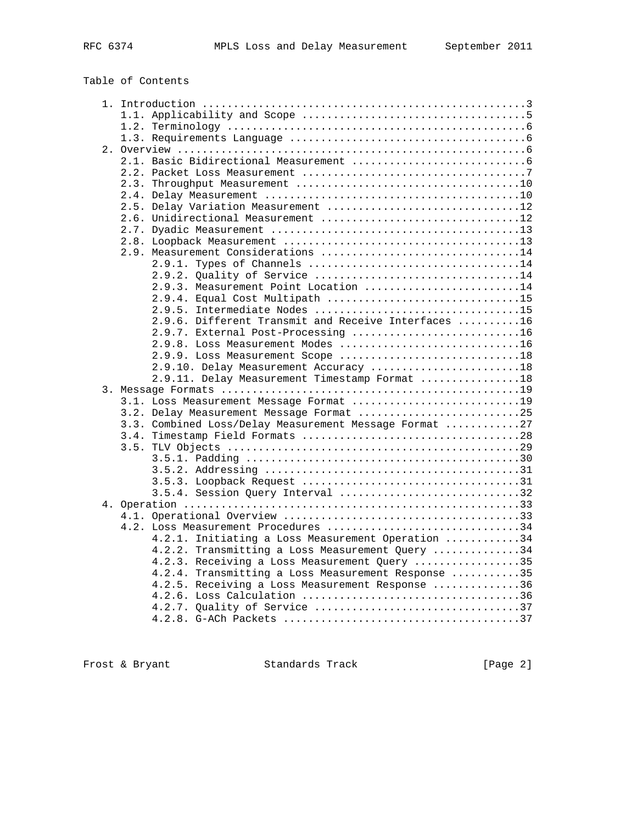# Table of Contents

| 2.5. Delay Variation Measurement 12                    |  |
|--------------------------------------------------------|--|
|                                                        |  |
|                                                        |  |
|                                                        |  |
| 2.9. Measurement Considerations 14                     |  |
|                                                        |  |
| 2.9.2. Quality of Service 14                           |  |
| 2.9.3. Measurement Point Location 14                   |  |
| 2.9.4. Equal Cost Multipath 15                         |  |
| 2.9.5. Intermediate Nodes 15                           |  |
| 2.9.6. Different Transmit and Receive Interfaces 16    |  |
| 2.9.7. External Post-Processing 16                     |  |
| 2.9.8. Loss Measurement Modes 16                       |  |
| 2.9.9. Loss Measurement Scope 18                       |  |
| 2.9.10. Delay Measurement Accuracy 18                  |  |
| 2.9.11. Delay Measurement Timestamp Format 18          |  |
|                                                        |  |
| 3.1. Loss Measurement Message Format 19                |  |
| 3.2. Delay Measurement Message Format 25               |  |
| 3.3. Combined Loss/Delay Measurement Message Format 27 |  |
|                                                        |  |
|                                                        |  |
|                                                        |  |
|                                                        |  |
| 3.5.4. Session Query Interval 32                       |  |
|                                                        |  |
|                                                        |  |
| 4.2. Loss Measurement Procedures 34                    |  |
| 4.2.1. Initiating a Loss Measurement Operation 34      |  |
| 4.2.2. Transmitting a Loss Measurement Query 34        |  |
| 4.2.3. Receiving a Loss Measurement Query 35           |  |
| 4.2.4. Transmitting a Loss Measurement Response 35     |  |
| 4.2.5. Receiving a Loss Measurement Response 36        |  |
|                                                        |  |
|                                                        |  |
|                                                        |  |
|                                                        |  |

Frost & Bryant Standards Track [Page 2]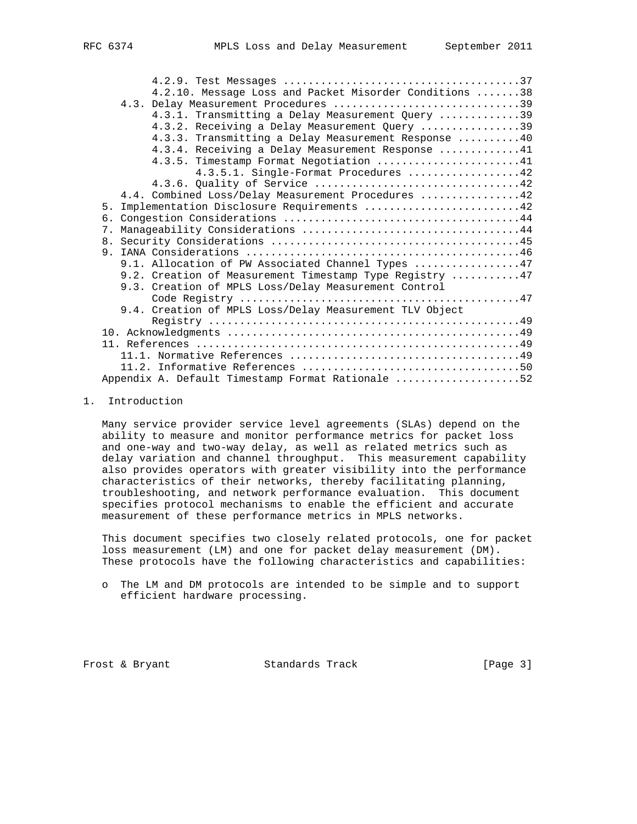| 4.2.10. Message Loss and Packet Misorder Conditions 38                                                                                                                                                                                                                                                                                                   |
|----------------------------------------------------------------------------------------------------------------------------------------------------------------------------------------------------------------------------------------------------------------------------------------------------------------------------------------------------------|
| 4.3. Delay Measurement Procedures 39                                                                                                                                                                                                                                                                                                                     |
| 4.3.1. Transmitting a Delay Measurement Query 39                                                                                                                                                                                                                                                                                                         |
| 4.3.2. Receiving a Delay Measurement Query 39                                                                                                                                                                                                                                                                                                            |
| 4.3.3. Transmitting a Delay Measurement Response 40                                                                                                                                                                                                                                                                                                      |
| $\Lambda$ ( ) $\Lambda$ ( ) $\Gamma$ ( ) $\Lambda$ ( ) $\Lambda$ ( ) $\Lambda$ ( ) $\Lambda$ ( ) $\Lambda$ ( ) $\Lambda$ ( ) $\Lambda$ ( ) $\Lambda$ ( ) $\Lambda$ ( ) $\Lambda$ ( ) $\Lambda$ ( ) $\Lambda$ ( ) $\Lambda$ ( ) $\Lambda$ ( ) $\Lambda$ ( ) $\Lambda$ ( ) $\Lambda$ ( ) $\Lambda$ ( ) $\Lambda$ ( ) $\Lambda$ ( ) $\Lambda$ ( ) $\Lambda$ |

| 4.3.3. Iransmitting a Delay Measurement Response 40     |
|---------------------------------------------------------|
| 4.3.4. Receiving a Delay Measurement Response 41        |
| 4.3.5. Timestamp Format Negotiation 41                  |
| 4.3.5.1. Single-Format Procedures 42                    |
|                                                         |
| 4.4. Combined Loss/Delay Measurement Procedures 42      |
| 5. Implementation Disclosure Requirements 42            |
|                                                         |
| 7.                                                      |
|                                                         |
|                                                         |
| 9.1. Allocation of PW Associated Channel Types 47       |
| 9.2. Creation of Measurement Timestamp Type Registry 47 |
| 9.3. Creation of MPLS Loss/Delay Measurement Control    |
|                                                         |
| 9.4. Creation of MPLS Loss/Delay Measurement TLV Object |
|                                                         |
|                                                         |
|                                                         |
|                                                         |
|                                                         |
| Appendix A. Default Timestamp Format Rationale 52       |
|                                                         |

#### 1. Introduction

 Many service provider service level agreements (SLAs) depend on the ability to measure and monitor performance metrics for packet loss and one-way and two-way delay, as well as related metrics such as delay variation and channel throughput. This measurement capability also provides operators with greater visibility into the performance characteristics of their networks, thereby facilitating planning, troubleshooting, and network performance evaluation. This document specifies protocol mechanisms to enable the efficient and accurate measurement of these performance metrics in MPLS networks.

 This document specifies two closely related protocols, one for packet loss measurement (LM) and one for packet delay measurement (DM). These protocols have the following characteristics and capabilities:

Frost & Bryant Standards Track [Page 3]

o The LM and DM protocols are intended to be simple and to support efficient hardware processing.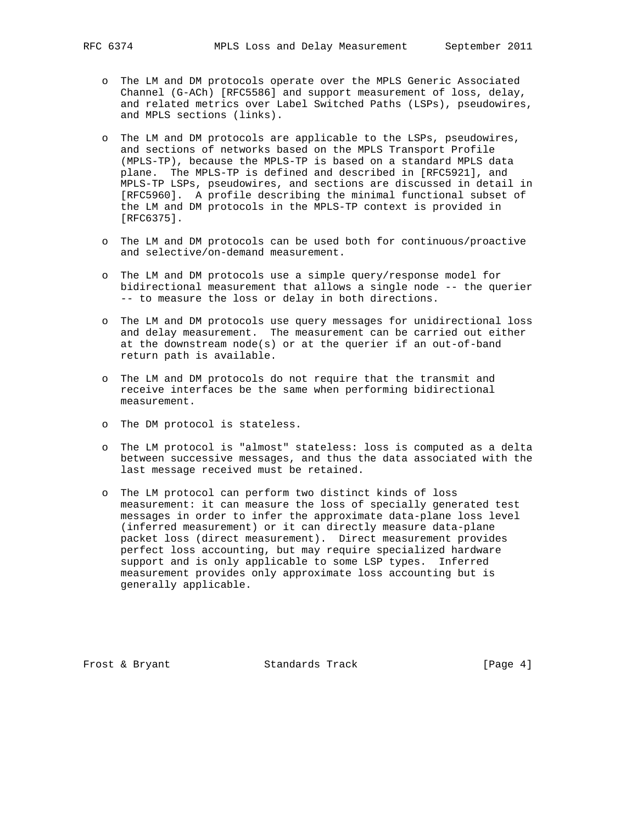- o The LM and DM protocols operate over the MPLS Generic Associated Channel (G-ACh) [RFC5586] and support measurement of loss, delay, and related metrics over Label Switched Paths (LSPs), pseudowires, and MPLS sections (links).
- o The LM and DM protocols are applicable to the LSPs, pseudowires, and sections of networks based on the MPLS Transport Profile (MPLS-TP), because the MPLS-TP is based on a standard MPLS data plane. The MPLS-TP is defined and described in [RFC5921], and MPLS-TP LSPs, pseudowires, and sections are discussed in detail in [RFC5960]. A profile describing the minimal functional subset of the LM and DM protocols in the MPLS-TP context is provided in [RFC6375].
- o The LM and DM protocols can be used both for continuous/proactive and selective/on-demand measurement.
- o The LM and DM protocols use a simple query/response model for bidirectional measurement that allows a single node -- the querier -- to measure the loss or delay in both directions.
- o The LM and DM protocols use query messages for unidirectional loss and delay measurement. The measurement can be carried out either at the downstream node(s) or at the querier if an out-of-band return path is available.
- o The LM and DM protocols do not require that the transmit and receive interfaces be the same when performing bidirectional measurement.
- o The DM protocol is stateless.
- o The LM protocol is "almost" stateless: loss is computed as a delta between successive messages, and thus the data associated with the last message received must be retained.
- o The LM protocol can perform two distinct kinds of loss measurement: it can measure the loss of specially generated test messages in order to infer the approximate data-plane loss level (inferred measurement) or it can directly measure data-plane packet loss (direct measurement). Direct measurement provides perfect loss accounting, but may require specialized hardware support and is only applicable to some LSP types. Inferred measurement provides only approximate loss accounting but is generally applicable.

Frost & Bryant Standards Track [Page 4]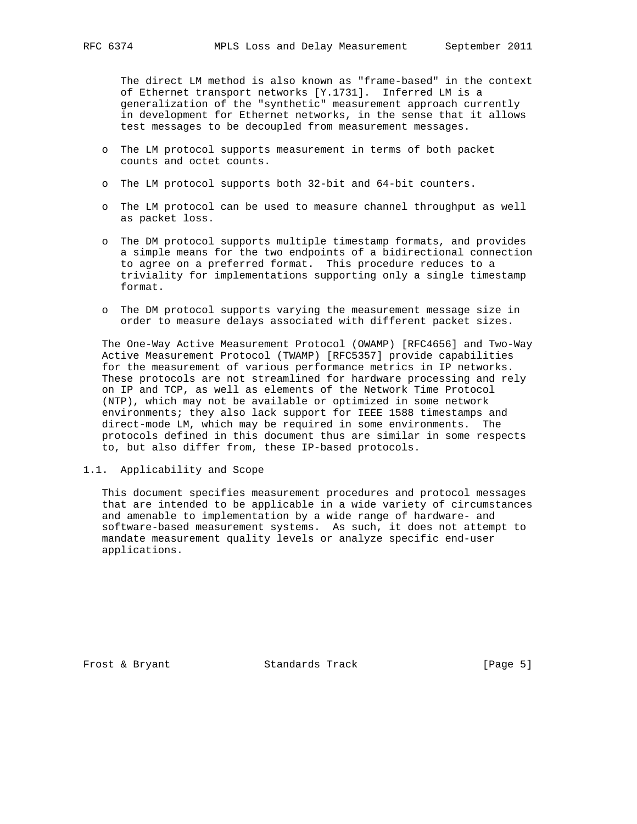The direct LM method is also known as "frame-based" in the context of Ethernet transport networks [Y.1731]. Inferred LM is a generalization of the "synthetic" measurement approach currently in development for Ethernet networks, in the sense that it allows test messages to be decoupled from measurement messages.

- o The LM protocol supports measurement in terms of both packet counts and octet counts.
- o The LM protocol supports both 32-bit and 64-bit counters.
- o The LM protocol can be used to measure channel throughput as well as packet loss.
- o The DM protocol supports multiple timestamp formats, and provides a simple means for the two endpoints of a bidirectional connection to agree on a preferred format. This procedure reduces to a triviality for implementations supporting only a single timestamp format.
- o The DM protocol supports varying the measurement message size in order to measure delays associated with different packet sizes.

 The One-Way Active Measurement Protocol (OWAMP) [RFC4656] and Two-Way Active Measurement Protocol (TWAMP) [RFC5357] provide capabilities for the measurement of various performance metrics in IP networks. These protocols are not streamlined for hardware processing and rely on IP and TCP, as well as elements of the Network Time Protocol (NTP), which may not be available or optimized in some network environments; they also lack support for IEEE 1588 timestamps and direct-mode LM, which may be required in some environments. The protocols defined in this document thus are similar in some respects to, but also differ from, these IP-based protocols.

1.1. Applicability and Scope

 This document specifies measurement procedures and protocol messages that are intended to be applicable in a wide variety of circumstances and amenable to implementation by a wide range of hardware- and software-based measurement systems. As such, it does not attempt to mandate measurement quality levels or analyze specific end-user applications.

Frost & Bryant Standards Track [Page 5]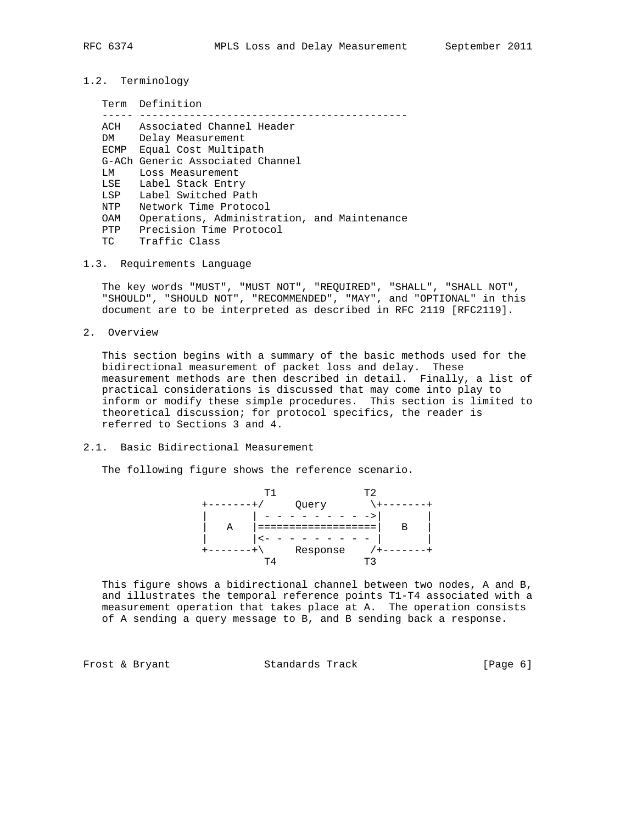- 
- 1.2. Terminology

|       | Term Definition                             |
|-------|---------------------------------------------|
|       |                                             |
| ACH   | Associated Channel Header                   |
| DM    | Delay Measurement                           |
| ECMP  | Equal Cost Multipath                        |
|       | G-ACh Generic Associated Channel            |
| T.M   | Loss Measurement                            |
| LSE   | Label Stack Entry                           |
| LSP L | Label Switched Path                         |
| NTP   | Network Time Protocol                       |
| OAM   | Operations, Administration, and Maintenance |
| PTP   | Precision Time Protocol                     |
| ТC    | Traffic Class                               |

1.3. Requirements Language

 The key words "MUST", "MUST NOT", "REQUIRED", "SHALL", "SHALL NOT", "SHOULD", "SHOULD NOT", "RECOMMENDED", "MAY", and "OPTIONAL" in this document are to be interpreted as described in RFC 2119 [RFC2119].

2. Overview

 This section begins with a summary of the basic methods used for the bidirectional measurement of packet loss and delay. These measurement methods are then described in detail. Finally, a list of practical considerations is discussed that may come into play to inform or modify these simple procedures. This section is limited to theoretical discussion; for protocol specifics, the reader is referred to Sections 3 and 4.

2.1. Basic Bidirectional Measurement

The following figure shows the reference scenario.



 This figure shows a bidirectional channel between two nodes, A and B, and illustrates the temporal reference points T1-T4 associated with a measurement operation that takes place at A. The operation consists of A sending a query message to B, and B sending back a response.

Frost & Bryant Standards Track [Page 6]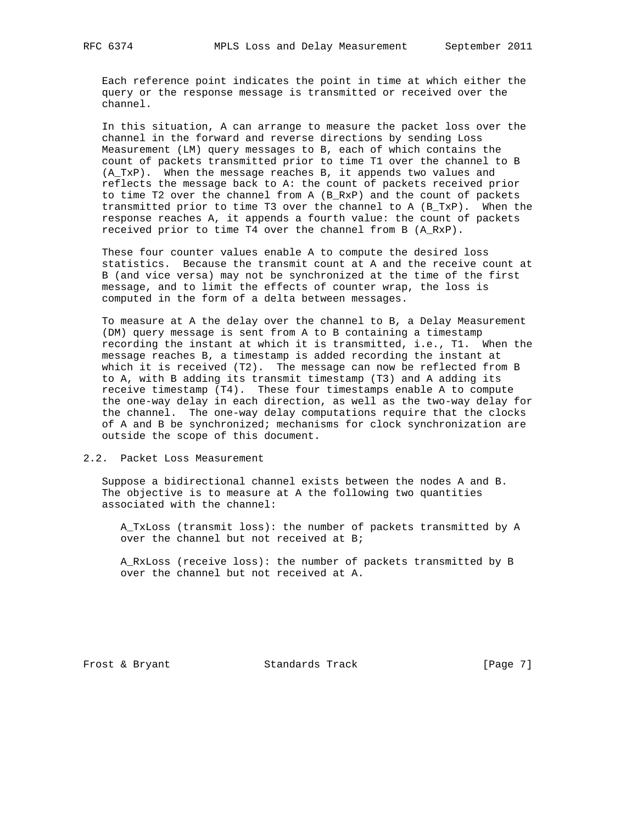Each reference point indicates the point in time at which either the query or the response message is transmitted or received over the channel.

 In this situation, A can arrange to measure the packet loss over the channel in the forward and reverse directions by sending Loss Measurement (LM) query messages to B, each of which contains the count of packets transmitted prior to time T1 over the channel to B (A\_TxP). When the message reaches B, it appends two values and reflects the message back to A: the count of packets received prior to time T2 over the channel from A (B\_RxP) and the count of packets transmitted prior to time T3 over the channel to A (B\_TxP). When the response reaches A, it appends a fourth value: the count of packets received prior to time T4 over the channel from B (A\_RxP).

 These four counter values enable A to compute the desired loss statistics. Because the transmit count at A and the receive count at B (and vice versa) may not be synchronized at the time of the first message, and to limit the effects of counter wrap, the loss is computed in the form of a delta between messages.

 To measure at A the delay over the channel to B, a Delay Measurement (DM) query message is sent from A to B containing a timestamp recording the instant at which it is transmitted, i.e., T1. When the message reaches B, a timestamp is added recording the instant at which it is received (T2). The message can now be reflected from B to A, with B adding its transmit timestamp (T3) and A adding its receive timestamp (T4). These four timestamps enable A to compute the one-way delay in each direction, as well as the two-way delay for the channel. The one-way delay computations require that the clocks of A and B be synchronized; mechanisms for clock synchronization are outside the scope of this document.

2.2. Packet Loss Measurement

 Suppose a bidirectional channel exists between the nodes A and B. The objective is to measure at A the following two quantities associated with the channel:

 A\_TxLoss (transmit loss): the number of packets transmitted by A over the channel but not received at B;

 A\_RxLoss (receive loss): the number of packets transmitted by B over the channel but not received at A.

Frost & Bryant Standards Track [Page 7]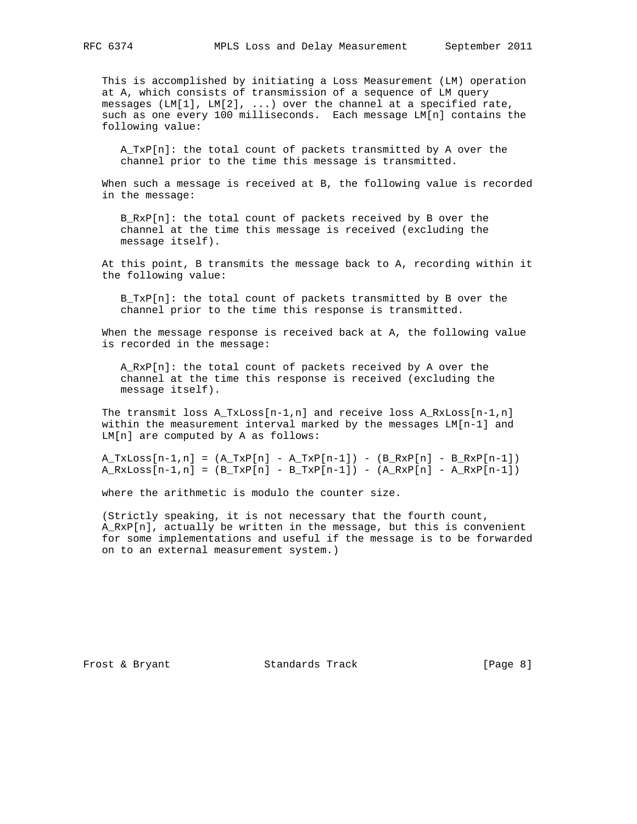This is accomplished by initiating a Loss Measurement (LM) operation at A, which consists of transmission of a sequence of LM query messages (LM[1], LM[2], ...) over the channel at a specified rate, such as one every 100 milliseconds. Each message LM[n] contains the following value:

 A\_TxP[n]: the total count of packets transmitted by A over the channel prior to the time this message is transmitted.

 When such a message is received at B, the following value is recorded in the message:

B RxP[n]: the total count of packets received by B over the channel at the time this message is received (excluding the message itself).

 At this point, B transmits the message back to A, recording within it the following value:

 B\_TxP[n]: the total count of packets transmitted by B over the channel prior to the time this response is transmitted.

 When the message response is received back at A, the following value is recorded in the message:

 A\_RxP[n]: the total count of packets received by A over the channel at the time this response is received (excluding the message itself).

The transmit loss  $A_TxLoss[n-1,n]$  and receive loss  $A_RxLoss[n-1,n]$  within the measurement interval marked by the messages LM[n-1] and LM[n] are computed by A as follows:

 $A_TxLoss[n-1,n] = (A_TxP[n] - A_TxP[n-1]) - (B_RxP[n] - B_RxP[n-1])$  $A_RxLoss[n-1,n] = (B_TxP[n] - B_TxP[n-1]) - (A_RxP[n] - A_RxP[n-1])$ 

where the arithmetic is modulo the counter size.

 (Strictly speaking, it is not necessary that the fourth count, A\_RxP[n], actually be written in the message, but this is convenient for some implementations and useful if the message is to be forwarded on to an external measurement system.)

Frost & Bryant Standards Track [Page 8]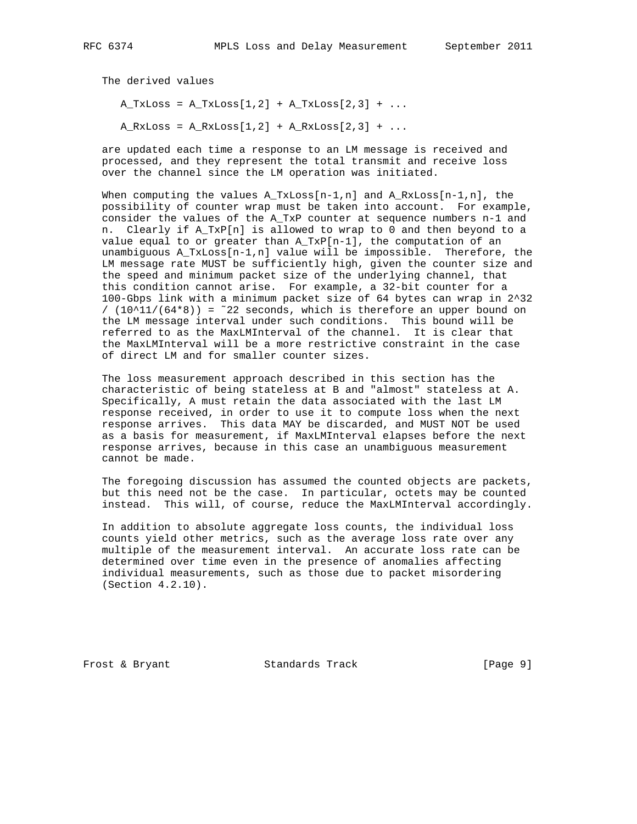The derived values  $A_TxLoss = A_TxLoss[1,2] + A_TxLoss[2,3] + ...$ 

 $A_RxLoss = A_RxLoss[1,2] + A_RxLoss[2,3] + ...$ 

 are updated each time a response to an LM message is received and processed, and they represent the total transmit and receive loss over the channel since the LM operation was initiated.

When computing the values  $A_TxLoss[n-1,n]$  and  $A_RxLoss[n-1,n]$ , the possibility of counter wrap must be taken into account. For example, consider the values of the A\_TxP counter at sequence numbers n-1 and n. Clearly if A\_TxP[n] is allowed to wrap to 0 and then beyond to a value equal to or greater than  $A_TxP[n-1]$ , the computation of an unambiguous A\_TxLoss[n-1,n] value will be impossible. Therefore, the LM message rate MUST be sufficiently high, given the counter size and the speed and minimum packet size of the underlying channel, that this condition cannot arise. For example, a 32-bit counter for a 100-Gbps link with a minimum packet size of 64 bytes can wrap in 2^32 /  $(10^11/(64*8)) = 22$  seconds, which is therefore an upper bound on the LM message interval under such conditions. This bound will be referred to as the MaxLMInterval of the channel. It is clear that the MaxLMInterval will be a more restrictive constraint in the case of direct LM and for smaller counter sizes.

 The loss measurement approach described in this section has the characteristic of being stateless at B and "almost" stateless at A. Specifically, A must retain the data associated with the last LM response received, in order to use it to compute loss when the next response arrives. This data MAY be discarded, and MUST NOT be used as a basis for measurement, if MaxLMInterval elapses before the next response arrives, because in this case an unambiguous measurement cannot be made.

 The foregoing discussion has assumed the counted objects are packets, but this need not be the case. In particular, octets may be counted instead. This will, of course, reduce the MaxLMInterval accordingly.

 In addition to absolute aggregate loss counts, the individual loss counts yield other metrics, such as the average loss rate over any multiple of the measurement interval. An accurate loss rate can be determined over time even in the presence of anomalies affecting individual measurements, such as those due to packet misordering (Section 4.2.10).

Frost & Bryant Standards Track [Page 9]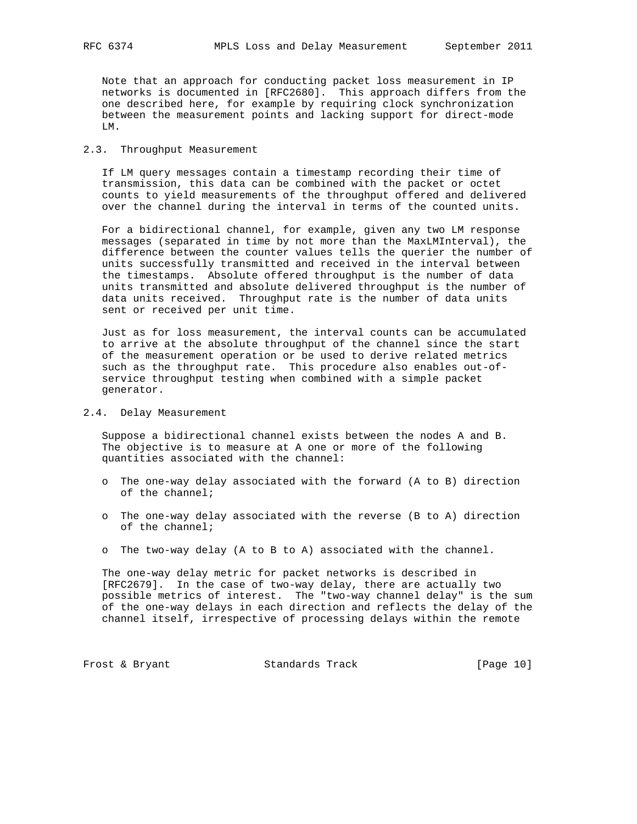Note that an approach for conducting packet loss measurement in IP networks is documented in [RFC2680]. This approach differs from the one described here, for example by requiring clock synchronization between the measurement points and lacking support for direct-mode LM.

## 2.3. Throughput Measurement

 If LM query messages contain a timestamp recording their time of transmission, this data can be combined with the packet or octet counts to yield measurements of the throughput offered and delivered over the channel during the interval in terms of the counted units.

 For a bidirectional channel, for example, given any two LM response messages (separated in time by not more than the MaxLMInterval), the difference between the counter values tells the querier the number of units successfully transmitted and received in the interval between the timestamps. Absolute offered throughput is the number of data units transmitted and absolute delivered throughput is the number of data units received. Throughput rate is the number of data units sent or received per unit time.

 Just as for loss measurement, the interval counts can be accumulated to arrive at the absolute throughput of the channel since the start of the measurement operation or be used to derive related metrics such as the throughput rate. This procedure also enables out-of service throughput testing when combined with a simple packet generator.

### 2.4. Delay Measurement

 Suppose a bidirectional channel exists between the nodes A and B. The objective is to measure at A one or more of the following quantities associated with the channel:

- o The one-way delay associated with the forward (A to B) direction of the channel;
- o The one-way delay associated with the reverse (B to A) direction of the channel;
- o The two-way delay (A to B to A) associated with the channel.

 The one-way delay metric for packet networks is described in [RFC2679]. In the case of two-way delay, there are actually two possible metrics of interest. The "two-way channel delay" is the sum of the one-way delays in each direction and reflects the delay of the channel itself, irrespective of processing delays within the remote

Frost & Bryant Standards Track [Page 10]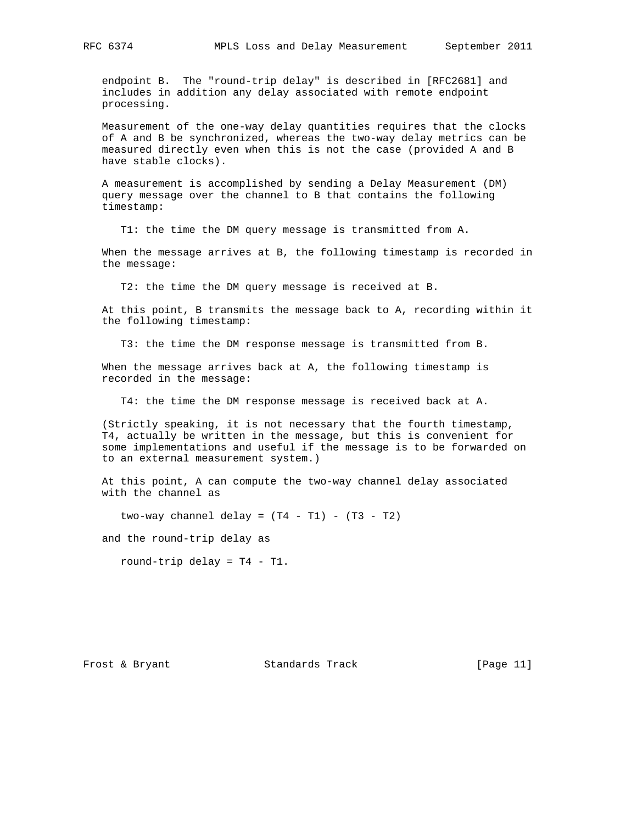endpoint B. The "round-trip delay" is described in [RFC2681] and includes in addition any delay associated with remote endpoint processing.

 Measurement of the one-way delay quantities requires that the clocks of A and B be synchronized, whereas the two-way delay metrics can be measured directly even when this is not the case (provided A and B have stable clocks).

 A measurement is accomplished by sending a Delay Measurement (DM) query message over the channel to B that contains the following timestamp:

T1: the time the DM query message is transmitted from A.

 When the message arrives at B, the following timestamp is recorded in the message:

T2: the time the DM query message is received at B.

 At this point, B transmits the message back to A, recording within it the following timestamp:

T3: the time the DM response message is transmitted from B.

 When the message arrives back at A, the following timestamp is recorded in the message:

T4: the time the DM response message is received back at A.

 (Strictly speaking, it is not necessary that the fourth timestamp, T4, actually be written in the message, but this is convenient for some implementations and useful if the message is to be forwarded on to an external measurement system.)

 At this point, A can compute the two-way channel delay associated with the channel as

two-way channel delay =  $(T4 - T1) - (T3 - T2)$ 

and the round-trip delay as

round-trip delay = T4 - T1.

Frost & Bryant Standards Track [Page 11]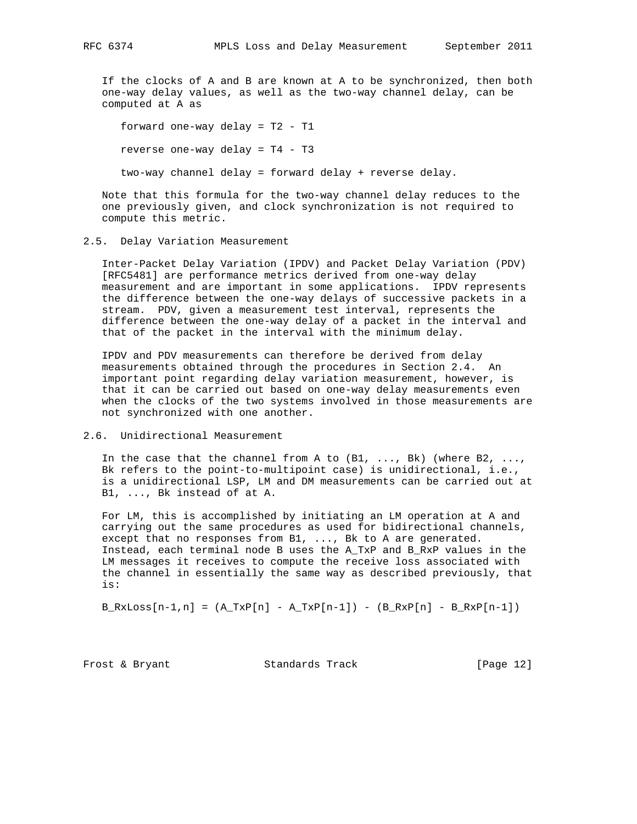If the clocks of A and B are known at A to be synchronized, then both one-way delay values, as well as the two-way channel delay, can be computed at A as

 forward one-way delay = T2 - T1 reverse one-way delay = T4 - T3 two-way channel delay = forward delay + reverse delay.

 Note that this formula for the two-way channel delay reduces to the one previously given, and clock synchronization is not required to compute this metric.

## 2.5. Delay Variation Measurement

 Inter-Packet Delay Variation (IPDV) and Packet Delay Variation (PDV) [RFC5481] are performance metrics derived from one-way delay measurement and are important in some applications. IPDV represents the difference between the one-way delays of successive packets in a stream. PDV, given a measurement test interval, represents the difference between the one-way delay of a packet in the interval and that of the packet in the interval with the minimum delay.

 IPDV and PDV measurements can therefore be derived from delay measurements obtained through the procedures in Section 2.4. An important point regarding delay variation measurement, however, is that it can be carried out based on one-way delay measurements even when the clocks of the two systems involved in those measurements are not synchronized with one another.

### 2.6. Unidirectional Measurement

In the case that the channel from A to  $(B1, \ldots, Bk)$  (where B2, ..., Bk refers to the point-to-multipoint case) is unidirectional, i.e., is a unidirectional LSP, LM and DM measurements can be carried out at B1, ..., Bk instead of at A.

 For LM, this is accomplished by initiating an LM operation at A and carrying out the same procedures as used for bidirectional channels, except that no responses from B1, ..., Bk to A are generated. Instead, each terminal node B uses the A\_TxP and B\_RxP values in the LM messages it receives to compute the receive loss associated with the channel in essentially the same way as described previously, that is:

 $B_RxLoss[n-1,n] = (A_Txp[n - A_Txp[n-1]) - (B_Rxp[n - B_Rxp[n-1])$ 

Frost & Bryant Standards Track [Page 12]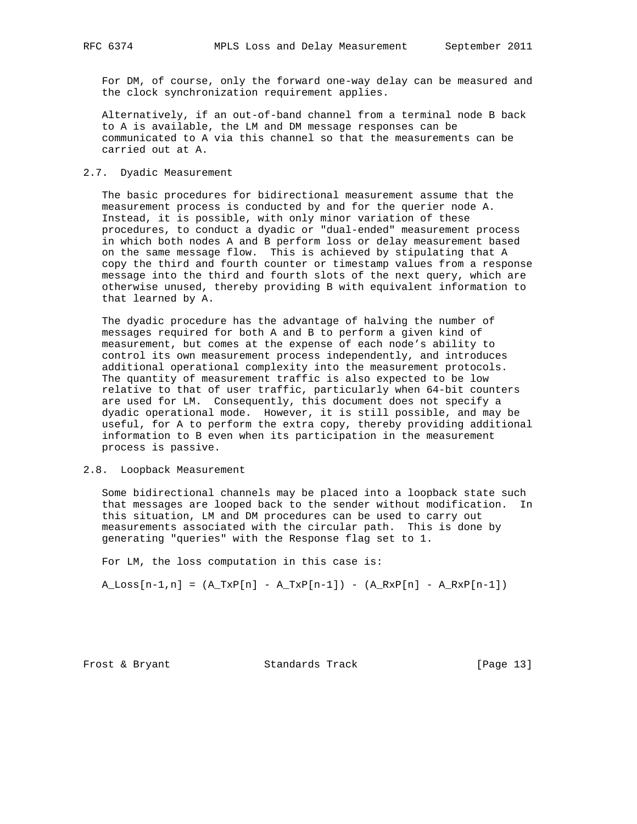For DM, of course, only the forward one-way delay can be measured and the clock synchronization requirement applies.

 Alternatively, if an out-of-band channel from a terminal node B back to A is available, the LM and DM message responses can be communicated to A via this channel so that the measurements can be carried out at A.

#### 2.7. Dyadic Measurement

 The basic procedures for bidirectional measurement assume that the measurement process is conducted by and for the querier node A. Instead, it is possible, with only minor variation of these procedures, to conduct a dyadic or "dual-ended" measurement process in which both nodes A and B perform loss or delay measurement based on the same message flow. This is achieved by stipulating that A copy the third and fourth counter or timestamp values from a response message into the third and fourth slots of the next query, which are otherwise unused, thereby providing B with equivalent information to that learned by A.

 The dyadic procedure has the advantage of halving the number of messages required for both A and B to perform a given kind of measurement, but comes at the expense of each node's ability to control its own measurement process independently, and introduces additional operational complexity into the measurement protocols. The quantity of measurement traffic is also expected to be low relative to that of user traffic, particularly when 64-bit counters are used for LM. Consequently, this document does not specify a dyadic operational mode. However, it is still possible, and may be useful, for A to perform the extra copy, thereby providing additional information to B even when its participation in the measurement process is passive.

## 2.8. Loopback Measurement

 Some bidirectional channels may be placed into a loopback state such that messages are looped back to the sender without modification. In this situation, LM and DM procedures can be used to carry out measurements associated with the circular path. This is done by generating "queries" with the Response flag set to 1.

For LM, the loss computation in this case is:

 $A_L$ Loss $[n-1,n] = (A_TxP[n] - A_TxP[n-1]) - (A_RxP[n] - A_RxP[n-1])$ 

Frost & Bryant Standards Track [Page 13]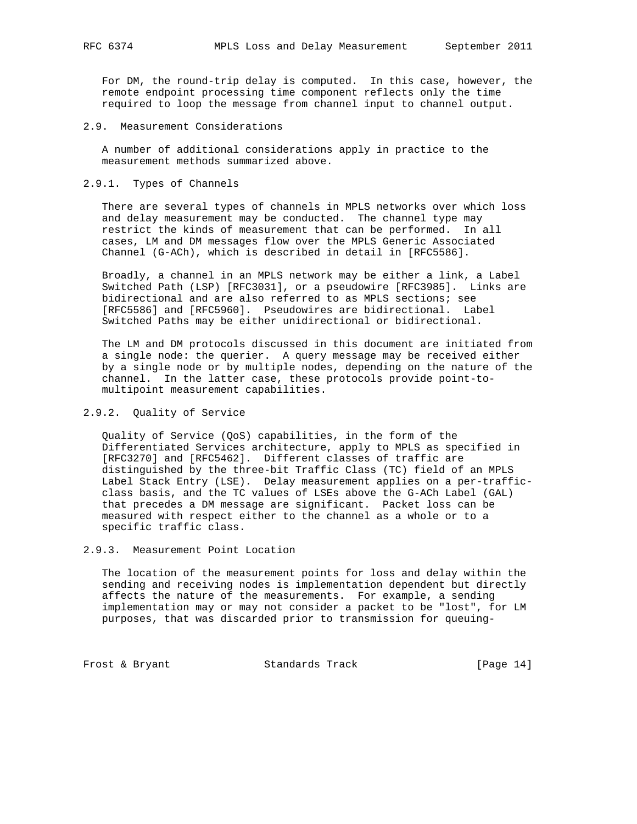For DM, the round-trip delay is computed. In this case, however, the remote endpoint processing time component reflects only the time required to loop the message from channel input to channel output.

2.9. Measurement Considerations

 A number of additional considerations apply in practice to the measurement methods summarized above.

2.9.1. Types of Channels

 There are several types of channels in MPLS networks over which loss and delay measurement may be conducted. The channel type may restrict the kinds of measurement that can be performed. In all cases, LM and DM messages flow over the MPLS Generic Associated Channel (G-ACh), which is described in detail in [RFC5586].

 Broadly, a channel in an MPLS network may be either a link, a Label Switched Path (LSP) [RFC3031], or a pseudowire [RFC3985]. Links are bidirectional and are also referred to as MPLS sections; see [RFC5586] and [RFC5960]. Pseudowires are bidirectional. Label Switched Paths may be either unidirectional or bidirectional.

 The LM and DM protocols discussed in this document are initiated from a single node: the querier. A query message may be received either by a single node or by multiple nodes, depending on the nature of the channel. In the latter case, these protocols provide point-to multipoint measurement capabilities.

2.9.2. Quality of Service

 Quality of Service (QoS) capabilities, in the form of the Differentiated Services architecture, apply to MPLS as specified in [RFC3270] and [RFC5462]. Different classes of traffic are distinguished by the three-bit Traffic Class (TC) field of an MPLS Label Stack Entry (LSE). Delay measurement applies on a per-traffic class basis, and the TC values of LSEs above the G-ACh Label (GAL) that precedes a DM message are significant. Packet loss can be measured with respect either to the channel as a whole or to a specific traffic class.

2.9.3. Measurement Point Location

 The location of the measurement points for loss and delay within the sending and receiving nodes is implementation dependent but directly affects the nature of the measurements. For example, a sending implementation may or may not consider a packet to be "lost", for LM purposes, that was discarded prior to transmission for queuing-

Frost & Bryant Standards Track [Page 14]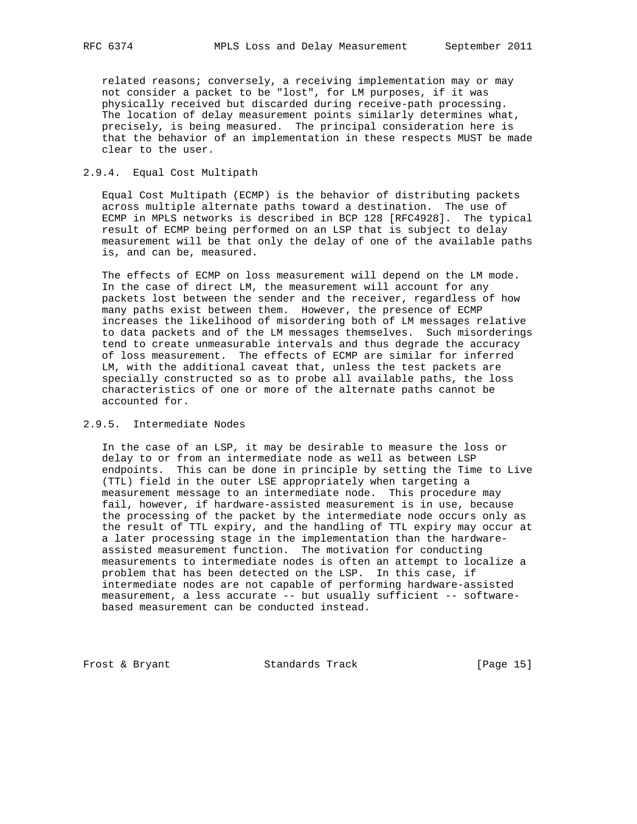related reasons; conversely, a receiving implementation may or may not consider a packet to be "lost", for LM purposes, if it was physically received but discarded during receive-path processing. The location of delay measurement points similarly determines what, precisely, is being measured. The principal consideration here is that the behavior of an implementation in these respects MUST be made clear to the user.

## 2.9.4. Equal Cost Multipath

 Equal Cost Multipath (ECMP) is the behavior of distributing packets across multiple alternate paths toward a destination. The use of ECMP in MPLS networks is described in BCP 128 [RFC4928]. The typical result of ECMP being performed on an LSP that is subject to delay measurement will be that only the delay of one of the available paths is, and can be, measured.

 The effects of ECMP on loss measurement will depend on the LM mode. In the case of direct LM, the measurement will account for any packets lost between the sender and the receiver, regardless of how many paths exist between them. However, the presence of ECMP increases the likelihood of misordering both of LM messages relative to data packets and of the LM messages themselves. Such misorderings tend to create unmeasurable intervals and thus degrade the accuracy of loss measurement. The effects of ECMP are similar for inferred LM, with the additional caveat that, unless the test packets are specially constructed so as to probe all available paths, the loss characteristics of one or more of the alternate paths cannot be accounted for.

## 2.9.5. Intermediate Nodes

 In the case of an LSP, it may be desirable to measure the loss or delay to or from an intermediate node as well as between LSP endpoints. This can be done in principle by setting the Time to Live (TTL) field in the outer LSE appropriately when targeting a measurement message to an intermediate node. This procedure may fail, however, if hardware-assisted measurement is in use, because the processing of the packet by the intermediate node occurs only as the result of TTL expiry, and the handling of TTL expiry may occur at a later processing stage in the implementation than the hardware assisted measurement function. The motivation for conducting measurements to intermediate nodes is often an attempt to localize a problem that has been detected on the LSP. In this case, if intermediate nodes are not capable of performing hardware-assisted measurement, a less accurate -- but usually sufficient -- software based measurement can be conducted instead.

Frost & Bryant Standards Track [Page 15]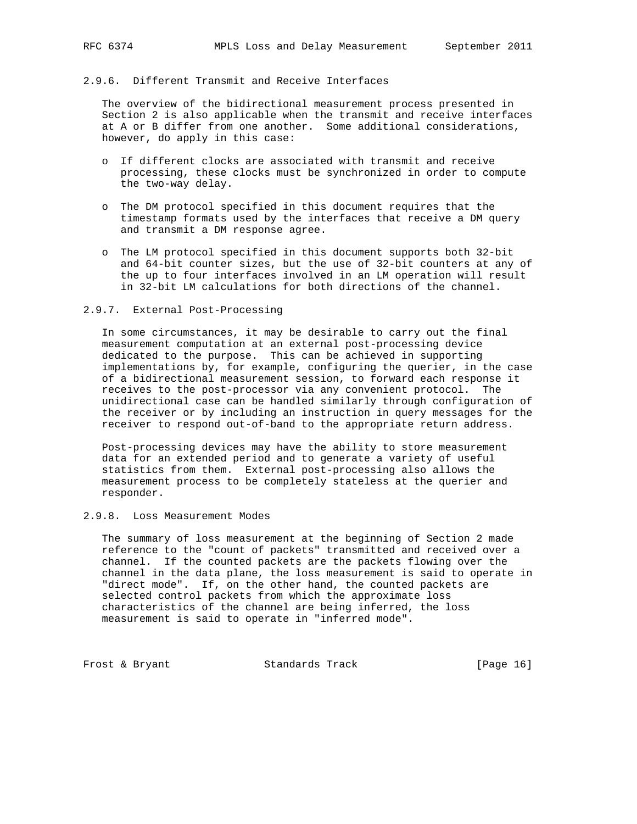## 2.9.6. Different Transmit and Receive Interfaces

 The overview of the bidirectional measurement process presented in Section 2 is also applicable when the transmit and receive interfaces at A or B differ from one another. Some additional considerations, however, do apply in this case:

- o If different clocks are associated with transmit and receive processing, these clocks must be synchronized in order to compute the two-way delay.
- o The DM protocol specified in this document requires that the timestamp formats used by the interfaces that receive a DM query and transmit a DM response agree.
- o The LM protocol specified in this document supports both 32-bit and 64-bit counter sizes, but the use of 32-bit counters at any of the up to four interfaces involved in an LM operation will result in 32-bit LM calculations for both directions of the channel.

#### 2.9.7. External Post-Processing

 In some circumstances, it may be desirable to carry out the final measurement computation at an external post-processing device dedicated to the purpose. This can be achieved in supporting implementations by, for example, configuring the querier, in the case of a bidirectional measurement session, to forward each response it receives to the post-processor via any convenient protocol. The unidirectional case can be handled similarly through configuration of the receiver or by including an instruction in query messages for the receiver to respond out-of-band to the appropriate return address.

 Post-processing devices may have the ability to store measurement data for an extended period and to generate a variety of useful statistics from them. External post-processing also allows the measurement process to be completely stateless at the querier and responder.

## 2.9.8. Loss Measurement Modes

 The summary of loss measurement at the beginning of Section 2 made reference to the "count of packets" transmitted and received over a channel. If the counted packets are the packets flowing over the channel in the data plane, the loss measurement is said to operate in "direct mode". If, on the other hand, the counted packets are selected control packets from which the approximate loss characteristics of the channel are being inferred, the loss measurement is said to operate in "inferred mode".

Frost & Bryant Standards Track [Page 16]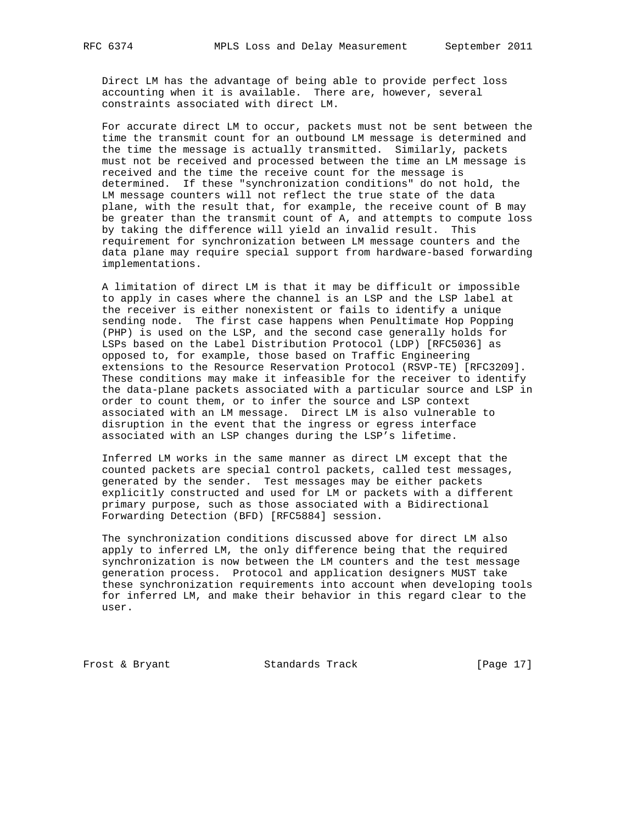Direct LM has the advantage of being able to provide perfect loss accounting when it is available. There are, however, several constraints associated with direct LM.

 For accurate direct LM to occur, packets must not be sent between the time the transmit count for an outbound LM message is determined and the time the message is actually transmitted. Similarly, packets must not be received and processed between the time an LM message is received and the time the receive count for the message is determined. If these "synchronization conditions" do not hold, the LM message counters will not reflect the true state of the data plane, with the result that, for example, the receive count of B may be greater than the transmit count of A, and attempts to compute loss by taking the difference will yield an invalid result. This requirement for synchronization between LM message counters and the data plane may require special support from hardware-based forwarding implementations.

 A limitation of direct LM is that it may be difficult or impossible to apply in cases where the channel is an LSP and the LSP label at the receiver is either nonexistent or fails to identify a unique sending node. The first case happens when Penultimate Hop Popping (PHP) is used on the LSP, and the second case generally holds for LSPs based on the Label Distribution Protocol (LDP) [RFC5036] as opposed to, for example, those based on Traffic Engineering extensions to the Resource Reservation Protocol (RSVP-TE) [RFC3209]. These conditions may make it infeasible for the receiver to identify the data-plane packets associated with a particular source and LSP in order to count them, or to infer the source and LSP context associated with an LM message. Direct LM is also vulnerable to disruption in the event that the ingress or egress interface associated with an LSP changes during the LSP's lifetime.

 Inferred LM works in the same manner as direct LM except that the counted packets are special control packets, called test messages, generated by the sender. Test messages may be either packets explicitly constructed and used for LM or packets with a different primary purpose, such as those associated with a Bidirectional Forwarding Detection (BFD) [RFC5884] session.

 The synchronization conditions discussed above for direct LM also apply to inferred LM, the only difference being that the required synchronization is now between the LM counters and the test message generation process. Protocol and application designers MUST take these synchronization requirements into account when developing tools for inferred LM, and make their behavior in this regard clear to the user.

Frost & Bryant Standards Track [Page 17]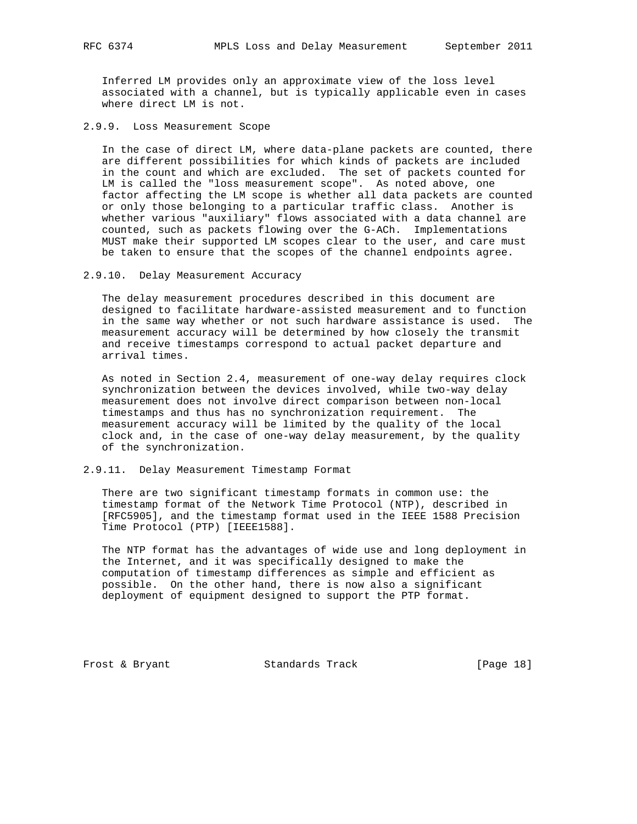Inferred LM provides only an approximate view of the loss level associated with a channel, but is typically applicable even in cases where direct LM is not.

2.9.9. Loss Measurement Scope

 In the case of direct LM, where data-plane packets are counted, there are different possibilities for which kinds of packets are included in the count and which are excluded. The set of packets counted for LM is called the "loss measurement scope". As noted above, one factor affecting the LM scope is whether all data packets are counted or only those belonging to a particular traffic class. Another is whether various "auxiliary" flows associated with a data channel are counted, such as packets flowing over the G-ACh. Implementations MUST make their supported LM scopes clear to the user, and care must be taken to ensure that the scopes of the channel endpoints agree.

2.9.10. Delay Measurement Accuracy

 The delay measurement procedures described in this document are designed to facilitate hardware-assisted measurement and to function in the same way whether or not such hardware assistance is used. The measurement accuracy will be determined by how closely the transmit and receive timestamps correspond to actual packet departure and arrival times.

 As noted in Section 2.4, measurement of one-way delay requires clock synchronization between the devices involved, while two-way delay measurement does not involve direct comparison between non-local timestamps and thus has no synchronization requirement. The measurement accuracy will be limited by the quality of the local clock and, in the case of one-way delay measurement, by the quality of the synchronization.

#### 2.9.11. Delay Measurement Timestamp Format

 There are two significant timestamp formats in common use: the timestamp format of the Network Time Protocol (NTP), described in [RFC5905], and the timestamp format used in the IEEE 1588 Precision Time Protocol (PTP) [IEEE1588].

 The NTP format has the advantages of wide use and long deployment in the Internet, and it was specifically designed to make the computation of timestamp differences as simple and efficient as possible. On the other hand, there is now also a significant deployment of equipment designed to support the PTP format.

Frost & Bryant Standards Track [Page 18]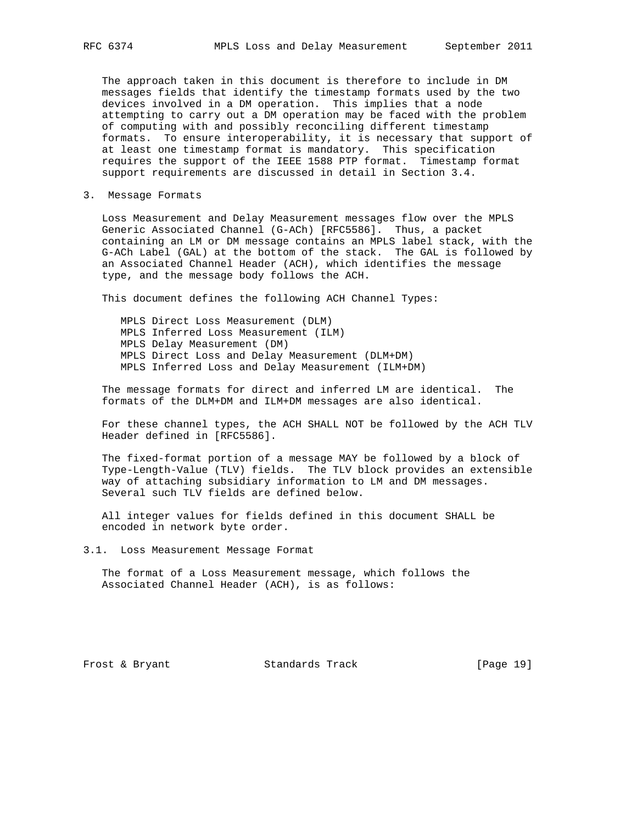The approach taken in this document is therefore to include in DM messages fields that identify the timestamp formats used by the two devices involved in a DM operation. This implies that a node attempting to carry out a DM operation may be faced with the problem of computing with and possibly reconciling different timestamp formats. To ensure interoperability, it is necessary that support of at least one timestamp format is mandatory. This specification requires the support of the IEEE 1588 PTP format. Timestamp format support requirements are discussed in detail in Section 3.4.

3. Message Formats

 Loss Measurement and Delay Measurement messages flow over the MPLS Generic Associated Channel (G-ACh) [RFC5586]. Thus, a packet containing an LM or DM message contains an MPLS label stack, with the G-ACh Label (GAL) at the bottom of the stack. The GAL is followed by an Associated Channel Header (ACH), which identifies the message type, and the message body follows the ACH.

This document defines the following ACH Channel Types:

 MPLS Direct Loss Measurement (DLM) MPLS Inferred Loss Measurement (ILM) MPLS Delay Measurement (DM) MPLS Direct Loss and Delay Measurement (DLM+DM) MPLS Inferred Loss and Delay Measurement (ILM+DM)

 The message formats for direct and inferred LM are identical. The formats of the DLM+DM and ILM+DM messages are also identical.

 For these channel types, the ACH SHALL NOT be followed by the ACH TLV Header defined in [RFC5586].

 The fixed-format portion of a message MAY be followed by a block of Type-Length-Value (TLV) fields. The TLV block provides an extensible way of attaching subsidiary information to LM and DM messages. Several such TLV fields are defined below.

 All integer values for fields defined in this document SHALL be encoded in network byte order.

3.1. Loss Measurement Message Format

 The format of a Loss Measurement message, which follows the Associated Channel Header (ACH), is as follows:

Frost & Bryant Standards Track [Page 19]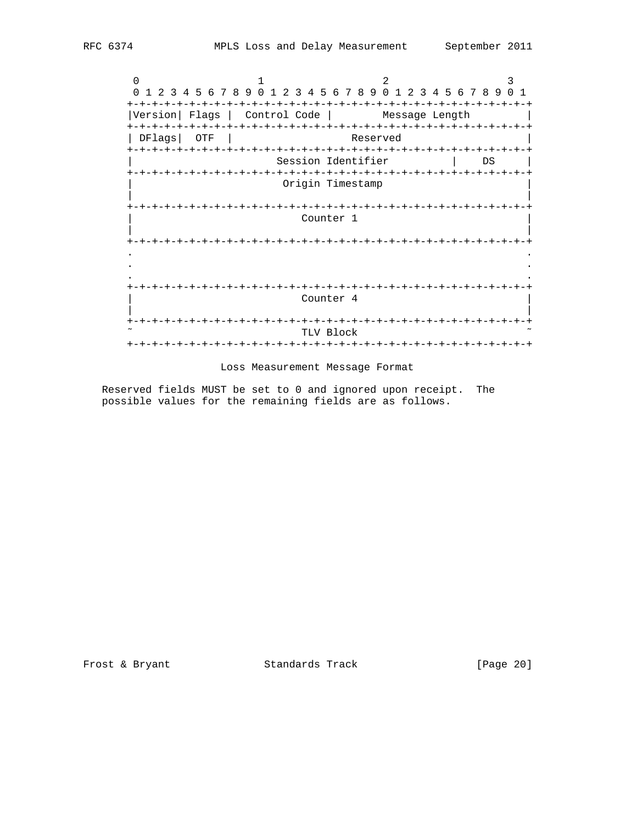$0$  1 2 3 0 1 2 3 4 5 6 7 8 9 0 1 2 3 4 5 6 7 8 9 0 1 2 3 4 5 6 7 8 9 0 1 +-+-+-+-+-+-+-+-+-+-+-+-+-+-+-+-+-+-+-+-+-+-+-+-+-+-+-+-+-+-+-+-+ |Version| Flags | Control Code | Message Length | +-+-+-+-+-+-+-+-+-+-+-+-+-+-+-+-+-+-+-+-+-+-+-+-+-+-+-+-+-+-+-+-+ | DFlags| OTF | Reserved | +-+-+-+-+-+-+-+-+-+-+-+-+-+-+-+-+-+-+-+-+-+-+-+-+-+-+-+-+-+-+-+-+ Session Identifier | DS | +-+-+-+-+-+-+-+-+-+-+-+-+-+-+-+-+-+-+-+-+-+-+-+-+-+-+-+-+-+-+-+-+ Origin Timestamp | | +-+-+-+-+-+-+-+-+-+-+-+-+-+-+-+-+-+-+-+-+-+-+-+-+-+-+-+-+-+-+-+-+ Counter 1 | | +-+-+-+-+-+-+-+-+-+-+-+-+-+-+-+-+-+-+-+-+-+-+-+-+-+-+-+-+-+-+-+-+ . . . . . . +-+-+-+-+-+-+-+-+-+-+-+-+-+-+-+-+-+-+-+-+-+-+-+-+-+-+-+-+-+-+-+-+ Counter 4 | | +-+-+-+-+-+-+-+-+-+-+-+-+-+-+-+-+-+-+-+-+-+-+-+-+-+-+-+-+-+-+-+-+ TLV Block +-+-+-+-+-+-+-+-+-+-+-+-+-+-+-+-+-+-+-+-+-+-+-+-+-+-+-+-+-+-+-+-+

Loss Measurement Message Format

 Reserved fields MUST be set to 0 and ignored upon receipt. The possible values for the remaining fields are as follows.

Frost & Bryant 6 (Page 20)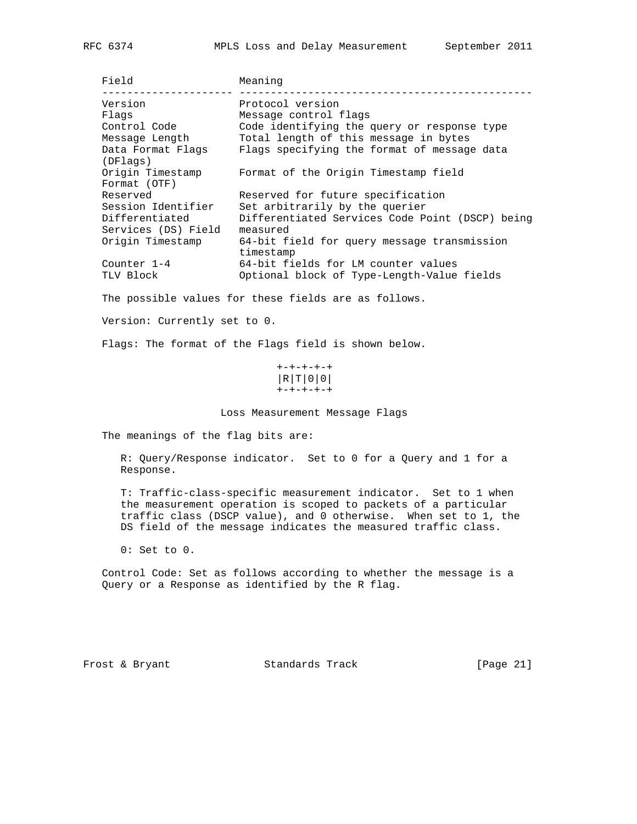| RFC | $\Lambda$<br>53 |
|-----|-----------------|
|     |                 |

| <b>Field</b>                  | Meaning                                                  |
|-------------------------------|----------------------------------------------------------|
| Version                       | Protocol version                                         |
| Flags                         | Message control flags                                    |
| Control Code                  | Code identifying the query or response type              |
| Message Length                | Total length of this message in bytes                    |
| Data Format Flags<br>(DFlags) | Flags specifying the format of message data              |
| Origin Timestamp              | Format of the Origin Timestamp field                     |
| Format (OTF)                  |                                                          |
| Reserved                      | Reserved for future specification                        |
| Session Identifier            | Set arbitrarily by the querier                           |
| Differentiated                | Differentiated Services Code Point (DSCP) being          |
| Services (DS) Field           | measured                                                 |
| Origin Timestamp              | 64-bit field for query message transmission<br>timestamp |
| Counter $1-4$                 | 64-bit fields for LM counter values                      |
|                               |                                                          |
| TLV Block                     | Optional block of Type-Length-Value fields               |

The possible values for these fields are as follows.

Version: Currently set to 0.

Flags: The format of the Flags field is shown below.

 +-+-+-+-+ |R|T|0|0| +-+-+-+-+

Loss Measurement Message Flags

The meanings of the flag bits are:

 R: Query/Response indicator. Set to 0 for a Query and 1 for a Response.

 T: Traffic-class-specific measurement indicator. Set to 1 when the measurement operation is scoped to packets of a particular traffic class (DSCP value), and 0 otherwise. When set to 1, the DS field of the message indicates the measured traffic class.

0: Set to 0.

 Control Code: Set as follows according to whether the message is a Query or a Response as identified by the R flag.

Frost & Bryant Standards Track [Page 21]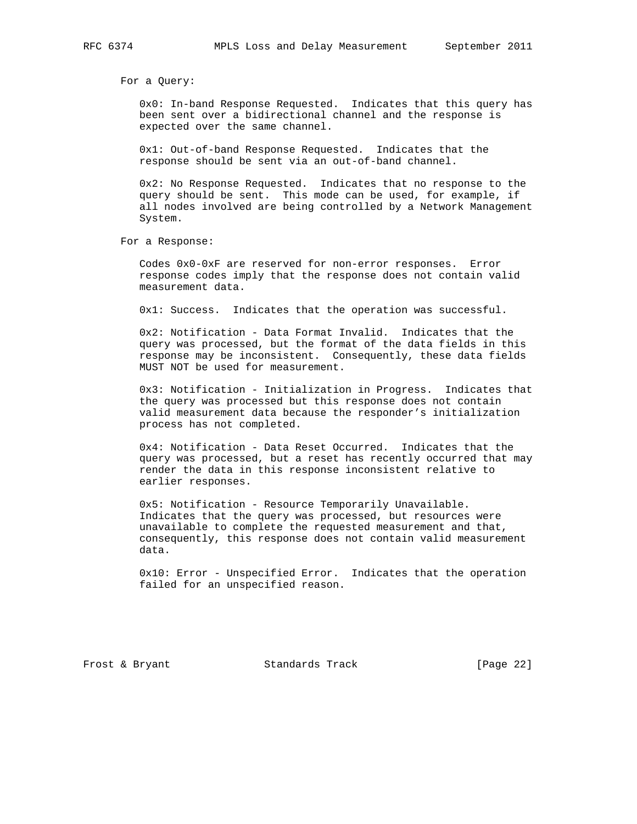For a Query:

 0x0: In-band Response Requested. Indicates that this query has been sent over a bidirectional channel and the response is expected over the same channel.

 0x1: Out-of-band Response Requested. Indicates that the response should be sent via an out-of-band channel.

 0x2: No Response Requested. Indicates that no response to the query should be sent. This mode can be used, for example, if all nodes involved are being controlled by a Network Management System.

For a Response:

 Codes 0x0-0xF are reserved for non-error responses. Error response codes imply that the response does not contain valid measurement data.

0x1: Success. Indicates that the operation was successful.

 0x2: Notification - Data Format Invalid. Indicates that the query was processed, but the format of the data fields in this response may be inconsistent. Consequently, these data fields MUST NOT be used for measurement.

 0x3: Notification - Initialization in Progress. Indicates that the query was processed but this response does not contain valid measurement data because the responder's initialization process has not completed.

 0x4: Notification - Data Reset Occurred. Indicates that the query was processed, but a reset has recently occurred that may render the data in this response inconsistent relative to earlier responses.

 0x5: Notification - Resource Temporarily Unavailable. Indicates that the query was processed, but resources were unavailable to complete the requested measurement and that, consequently, this response does not contain valid measurement data.

 0x10: Error - Unspecified Error. Indicates that the operation failed for an unspecified reason.

Frost & Bryant 6 (Page 22)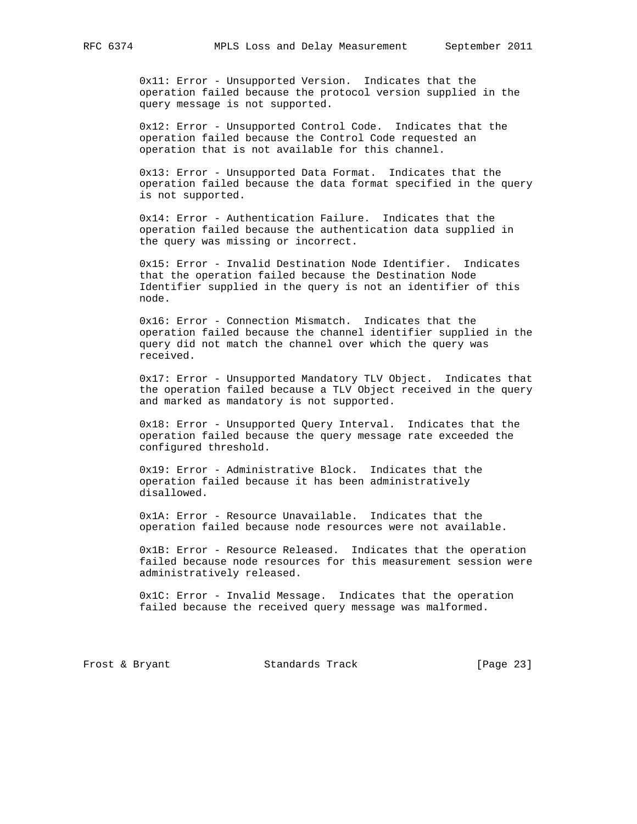0x11: Error - Unsupported Version. Indicates that the operation failed because the protocol version supplied in the query message is not supported.

 0x12: Error - Unsupported Control Code. Indicates that the operation failed because the Control Code requested an operation that is not available for this channel.

 0x13: Error - Unsupported Data Format. Indicates that the operation failed because the data format specified in the query is not supported.

 0x14: Error - Authentication Failure. Indicates that the operation failed because the authentication data supplied in the query was missing or incorrect.

 0x15: Error - Invalid Destination Node Identifier. Indicates that the operation failed because the Destination Node Identifier supplied in the query is not an identifier of this node.

 0x16: Error - Connection Mismatch. Indicates that the operation failed because the channel identifier supplied in the query did not match the channel over which the query was received.

 0x17: Error - Unsupported Mandatory TLV Object. Indicates that the operation failed because a TLV Object received in the query and marked as mandatory is not supported.

 0x18: Error - Unsupported Query Interval. Indicates that the operation failed because the query message rate exceeded the configured threshold.

 0x19: Error - Administrative Block. Indicates that the operation failed because it has been administratively disallowed.

 0x1A: Error - Resource Unavailable. Indicates that the operation failed because node resources were not available.

 0x1B: Error - Resource Released. Indicates that the operation failed because node resources for this measurement session were administratively released.

 0x1C: Error - Invalid Message. Indicates that the operation failed because the received query message was malformed.

Frost & Bryant Standards Track [Page 23]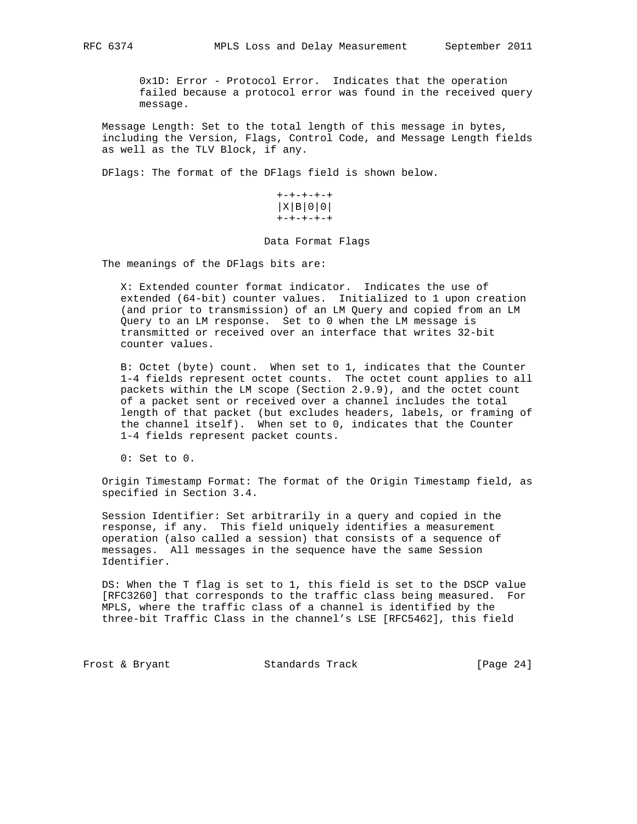0x1D: Error - Protocol Error. Indicates that the operation failed because a protocol error was found in the received query message.

 Message Length: Set to the total length of this message in bytes, including the Version, Flags, Control Code, and Message Length fields as well as the TLV Block, if any.

DFlags: The format of the DFlags field is shown below.

 +-+-+-+-+ |X|B|0|0| +-+-+-+-+

#### Data Format Flags

The meanings of the DFlags bits are:

 X: Extended counter format indicator. Indicates the use of extended (64-bit) counter values. Initialized to 1 upon creation (and prior to transmission) of an LM Query and copied from an LM Query to an LM response. Set to 0 when the LM message is transmitted or received over an interface that writes 32-bit counter values.

 B: Octet (byte) count. When set to 1, indicates that the Counter 1-4 fields represent octet counts. The octet count applies to all packets within the LM scope (Section 2.9.9), and the octet count of a packet sent or received over a channel includes the total length of that packet (but excludes headers, labels, or framing of the channel itself). When set to 0, indicates that the Counter 1-4 fields represent packet counts.

0: Set to 0.

 Origin Timestamp Format: The format of the Origin Timestamp field, as specified in Section 3.4.

 Session Identifier: Set arbitrarily in a query and copied in the response, if any. This field uniquely identifies a measurement operation (also called a session) that consists of a sequence of messages. All messages in the sequence have the same Session Identifier.

 DS: When the T flag is set to 1, this field is set to the DSCP value [RFC3260] that corresponds to the traffic class being measured. For MPLS, where the traffic class of a channel is identified by the three-bit Traffic Class in the channel's LSE [RFC5462], this field

Frost & Bryant Standards Track [Page 24]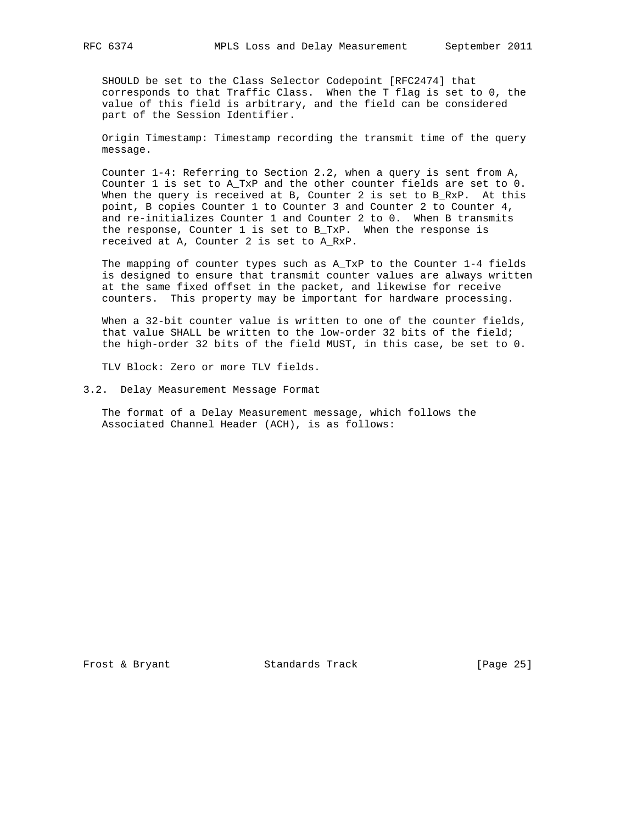SHOULD be set to the Class Selector Codepoint [RFC2474] that corresponds to that Traffic Class. When the T flag is set to 0, the value of this field is arbitrary, and the field can be considered part of the Session Identifier.

 Origin Timestamp: Timestamp recording the transmit time of the query message.

 Counter 1-4: Referring to Section 2.2, when a query is sent from A, Counter 1 is set to A\_TxP and the other counter fields are set to 0. When the query is received at B, Counter 2 is set to B\_RxP. At this point, B copies Counter 1 to Counter 3 and Counter 2 to Counter 4, and re-initializes Counter 1 and Counter 2 to 0. When B transmits the response, Counter 1 is set to B\_TxP. When the response is received at A, Counter 2 is set to A\_RxP.

 The mapping of counter types such as A\_TxP to the Counter 1-4 fields is designed to ensure that transmit counter values are always written at the same fixed offset in the packet, and likewise for receive counters. This property may be important for hardware processing.

When a 32-bit counter value is written to one of the counter fields, that value SHALL be written to the low-order 32 bits of the field; the high-order 32 bits of the field MUST, in this case, be set to 0.

TLV Block: Zero or more TLV fields.

#### 3.2. Delay Measurement Message Format

 The format of a Delay Measurement message, which follows the Associated Channel Header (ACH), is as follows:

Frost & Bryant Standards Track [Page 25]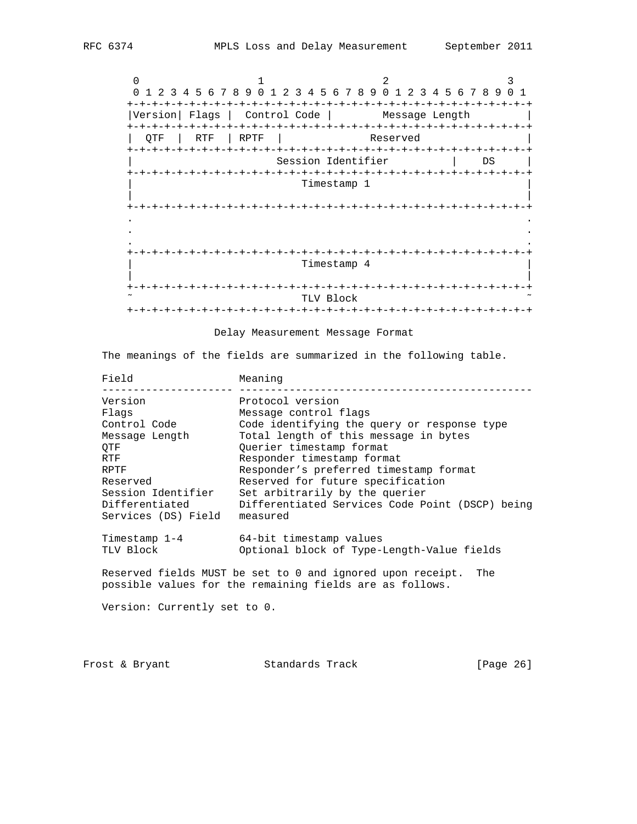$0$  1 2 3 0 1 2 3 4 5 6 7 8 9 0 1 2 3 4 5 6 7 8 9 0 1 2 3 4 5 6 7 8 9 0 1 +-+-+-+-+-+-+-+-+-+-+-+-+-+-+-+-+-+-+-+-+-+-+-+-+-+-+-+-+-+-+-+-+ |Version| Flags | Control Code | Message Length | +-+-+-+-+-+-+-+-+-+-+-+-+-+-+-+-+-+-+-+-+-+-+-+-+-+-+-+-+-+-+-+-+ | QTF | RTF | RPTF | Reserved | +-+-+-+-+-+-+-+-+-+-+-+-+-+-+-+-+-+-+-+-+-+-+-+-+-+-+-+-+-+-+-+-+ Session Identifier | DS | +-+-+-+-+-+-+-+-+-+-+-+-+-+-+-+-+-+-+-+-+-+-+-+-+-+-+-+-+-+-+-+-+ | Timestamp 1 | | | +-+-+-+-+-+-+-+-+-+-+-+-+-+-+-+-+-+-+-+-+-+-+-+-+-+-+-+-+-+-+-+-+ . . . . . . +-+-+-+-+-+-+-+-+-+-+-+-+-+-+-+-+-+-+-+-+-+-+-+-+-+-+-+-+-+-+-+-+ | Timestamp 4 | | | +-+-+-+-+-+-+-+-+-+-+-+-+-+-+-+-+-+-+-+-+-+-+-+-+-+-+-+-+-+-+-+-+ TLV Block +-+-+-+-+-+-+-+-+-+-+-+-+-+-+-+-+-+-+-+-+-+-+-+-+-+-+-+-+-+-+-+-+

Delay Measurement Message Format

The meanings of the fields are summarized in the following table.

| Field                                                                                                                                               | Meaning                                                                                                                                                                                                                                                                                                                                                                     |
|-----------------------------------------------------------------------------------------------------------------------------------------------------|-----------------------------------------------------------------------------------------------------------------------------------------------------------------------------------------------------------------------------------------------------------------------------------------------------------------------------------------------------------------------------|
| Version<br>Flags<br>Control Code<br>Message Length<br>OTF<br>RTF<br>RPTF<br>Reserved<br>Session Identifier<br>Differentiated<br>Services (DS) Field | Protocol version<br>Message control flags<br>Code identifying the query or response type<br>Total length of this message in bytes<br>Ouerier timestamp format<br>Responder timestamp format<br>Responder's preferred timestamp format<br>Reserved for future specification<br>Set arbitrarily by the querier<br>Differentiated Services Code Point (DSCP) being<br>measured |
| Timestamp $1-4$<br>TLV Block                                                                                                                        | 64-bit timestamp values<br>Optional block of Type-Length-Value fields                                                                                                                                                                                                                                                                                                       |
|                                                                                                                                                     | Reserved fields MUST be set to 0 and ignored upon receipt.<br>The<br>possible values for the remaining fields are as follows.                                                                                                                                                                                                                                               |
| Version: Currently set to 0.                                                                                                                        |                                                                                                                                                                                                                                                                                                                                                                             |

Frost & Bryant 6 (Page 26)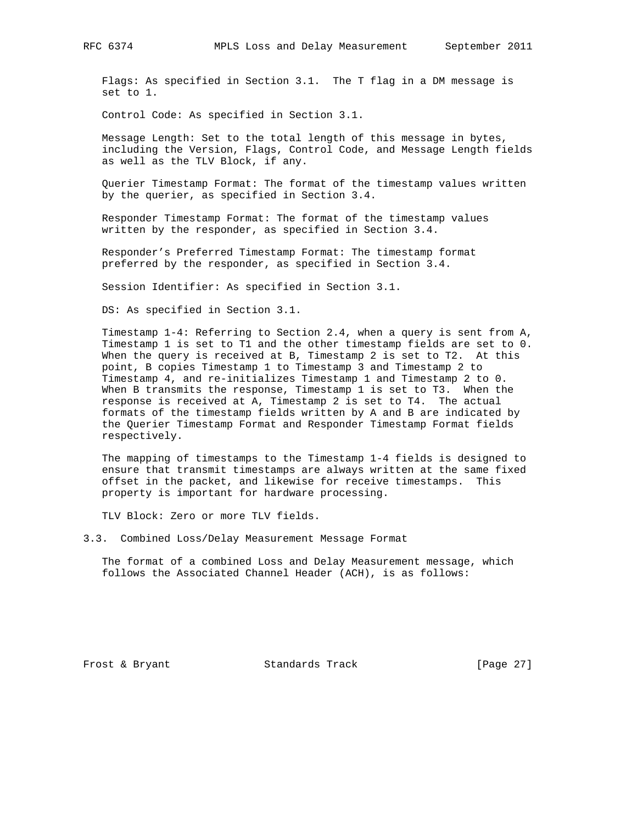Flags: As specified in Section 3.1. The T flag in a DM message is set to 1.

Control Code: As specified in Section 3.1.

 Message Length: Set to the total length of this message in bytes, including the Version, Flags, Control Code, and Message Length fields as well as the TLV Block, if any.

 Querier Timestamp Format: The format of the timestamp values written by the querier, as specified in Section 3.4.

 Responder Timestamp Format: The format of the timestamp values written by the responder, as specified in Section 3.4.

 Responder's Preferred Timestamp Format: The timestamp format preferred by the responder, as specified in Section 3.4.

Session Identifier: As specified in Section 3.1.

DS: As specified in Section 3.1.

 Timestamp 1-4: Referring to Section 2.4, when a query is sent from A, Timestamp 1 is set to T1 and the other timestamp fields are set to 0. When the query is received at B, Timestamp 2 is set to T2. At this point, B copies Timestamp 1 to Timestamp 3 and Timestamp 2 to Timestamp 4, and re-initializes Timestamp 1 and Timestamp 2 to 0. When B transmits the response, Timestamp 1 is set to T3. When the response is received at A, Timestamp 2 is set to T4. The actual formats of the timestamp fields written by A and B are indicated by the Querier Timestamp Format and Responder Timestamp Format fields respectively.

 The mapping of timestamps to the Timestamp 1-4 fields is designed to ensure that transmit timestamps are always written at the same fixed offset in the packet, and likewise for receive timestamps. This property is important for hardware processing.

TLV Block: Zero or more TLV fields.

3.3. Combined Loss/Delay Measurement Message Format

 The format of a combined Loss and Delay Measurement message, which follows the Associated Channel Header (ACH), is as follows:

Frost & Bryant Standards Track [Page 27]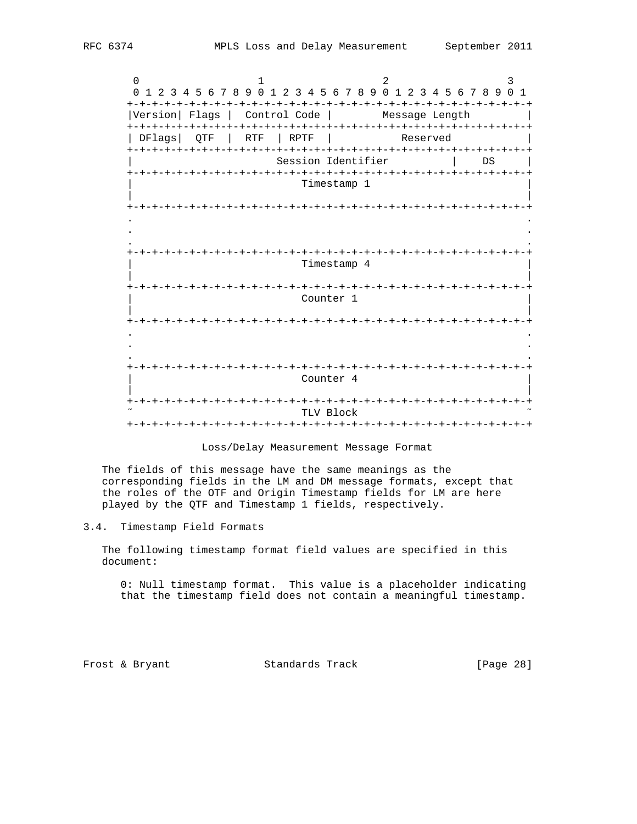$0$  1 2 3 0 1 2 3 4 5 6 7 8 9 0 1 2 3 4 5 6 7 8 9 0 1 2 3 4 5 6 7 8 9 0 1 +-+-+-+-+-+-+-+-+-+-+-+-+-+-+-+-+-+-+-+-+-+-+-+-+-+-+-+-+-+-+-+-+ |Version| Flags | Control Code | Message Length +-+-+-+-+-+-+-+-+-+-+-+-+-+-+-+-+-+-+-+-+-+-+-+-+-+-+-+-+-+-+-+-+ | DFlags| QTF | RTF | RPTF | Reserved | +-+-+-+-+-+-+-+-+-+-+-+-+-+-+-+-+-+-+-+-+-+-+-+-+-+-+-+-+-+-+-+-+ Session Identifier | DS | +-+-+-+-+-+-+-+-+-+-+-+-+-+-+-+-+-+-+-+-+-+-+-+-+-+-+-+-+-+-+-+-+ Timestamp 1 | | +-+-+-+-+-+-+-+-+-+-+-+-+-+-+-+-+-+-+-+-+-+-+-+-+-+-+-+-+-+-+-+-+ . . . . . . +-+-+-+-+-+-+-+-+-+-+-+-+-+-+-+-+-+-+-+-+-+-+-+-+-+-+-+-+-+-+-+-+ | Timestamp 4 | | | +-+-+-+-+-+-+-+-+-+-+-+-+-+-+-+-+-+-+-+-+-+-+-+-+-+-+-+-+-+-+-+-+ Counter 1 | | +-+-+-+-+-+-+-+-+-+-+-+-+-+-+-+-+-+-+-+-+-+-+-+-+-+-+-+-+-+-+-+-+ . . . . . . +-+-+-+-+-+-+-+-+-+-+-+-+-+-+-+-+-+-+-+-+-+-+-+-+-+-+-+-+-+-+-+-+ Counter 4 | | +-+-+-+-+-+-+-+-+-+-+-+-+-+-+-+-+-+-+-+-+-+-+-+-+-+-+-+-+-+-+-+-+ ˜ TLV Block ˜ +-+-+-+-+-+-+-+-+-+-+-+-+-+-+-+-+-+-+-+-+-+-+-+-+-+-+-+-+-+-+-+-+

#### Loss/Delay Measurement Message Format

 The fields of this message have the same meanings as the corresponding fields in the LM and DM message formats, except that the roles of the OTF and Origin Timestamp fields for LM are here played by the QTF and Timestamp 1 fields, respectively.

### 3.4. Timestamp Field Formats

 The following timestamp format field values are specified in this document:

 0: Null timestamp format. This value is a placeholder indicating that the timestamp field does not contain a meaningful timestamp.

Frost & Bryant Standards Track [Page 28]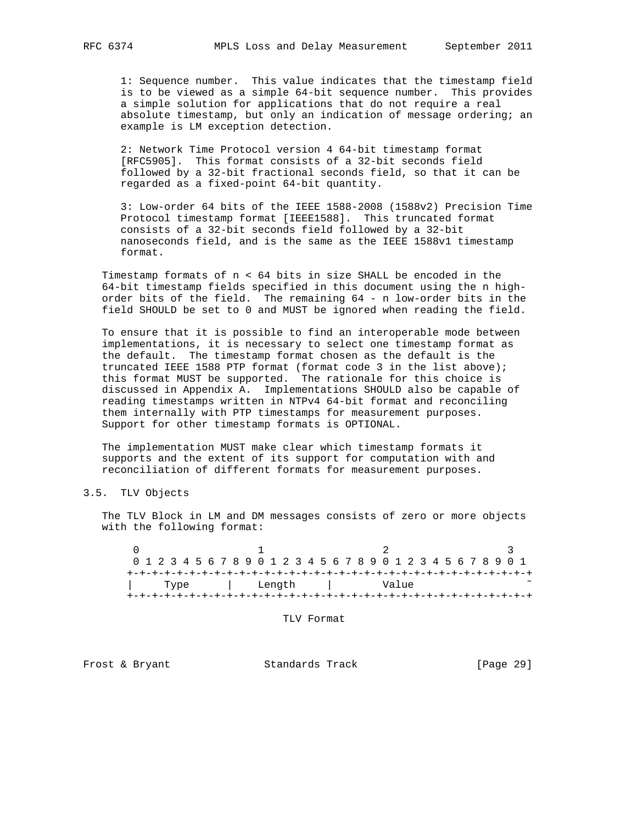1: Sequence number. This value indicates that the timestamp field is to be viewed as a simple 64-bit sequence number. This provides a simple solution for applications that do not require a real absolute timestamp, but only an indication of message ordering; an example is LM exception detection.

 2: Network Time Protocol version 4 64-bit timestamp format [RFC5905]. This format consists of a 32-bit seconds field followed by a 32-bit fractional seconds field, so that it can be regarded as a fixed-point 64-bit quantity.

 3: Low-order 64 bits of the IEEE 1588-2008 (1588v2) Precision Time Protocol timestamp format [IEEE1588]. This truncated format consists of a 32-bit seconds field followed by a 32-bit nanoseconds field, and is the same as the IEEE 1588v1 timestamp format.

 Timestamp formats of n < 64 bits in size SHALL be encoded in the 64-bit timestamp fields specified in this document using the n high order bits of the field. The remaining 64 - n low-order bits in the field SHOULD be set to 0 and MUST be ignored when reading the field.

 To ensure that it is possible to find an interoperable mode between implementations, it is necessary to select one timestamp format as the default. The timestamp format chosen as the default is the truncated IEEE 1588 PTP format (format code 3 in the list above); this format MUST be supported. The rationale for this choice is discussed in Appendix A. Implementations SHOULD also be capable of reading timestamps written in NTPv4 64-bit format and reconciling them internally with PTP timestamps for measurement purposes. Support for other timestamp formats is OPTIONAL.

 The implementation MUST make clear which timestamp formats it supports and the extent of its support for computation with and reconciliation of different formats for measurement purposes.

## 3.5. TLV Objects

 The TLV Block in LM and DM messages consists of zero or more objects with the following format:

 $0$  1 2 3 0 1 2 3 4 5 6 7 8 9 0 1 2 3 4 5 6 7 8 9 0 1 2 3 4 5 6 7 8 9 0 1 +-+-+-+-+-+-+-+-+-+-+-+-+-+-+-+-+-+-+-+-+-+-+-+-+-+-+-+-+-+-+-+-+ | Type | Length | Value +-+-+-+-+-+-+-+-+-+-+-+-+-+-+-+-+-+-+-+-+-+-+-+-+-+-+-+-+-+-+-+-+

TLV Format

Frost & Bryant Standards Track [Page 29]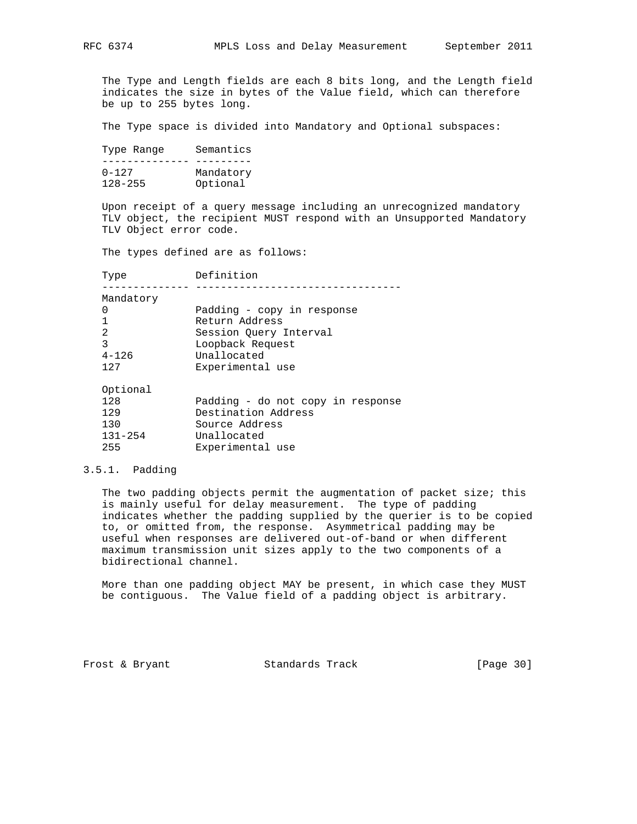The Type and Length fields are each 8 bits long, and the Length field indicates the size in bytes of the Value field, which can therefore be up to 255 bytes long.

The Type space is divided into Mandatory and Optional subspaces:

| Type Range  | Semantics |
|-------------|-----------|
|             |           |
| $0 - 127$   | Mandatory |
| $128 - 255$ | Optional  |

 Upon receipt of a query message including an unrecognized mandatory TLV object, the recipient MUST respond with an Unsupported Mandatory TLV Object error code.

The types defined are as follows:

| Type      | Definition                        |
|-----------|-----------------------------------|
| Mandatory |                                   |
| 0         | Padding - copy in response        |
| 1         | Return Address                    |
| 2         | Session Query Interval            |
| 3         | Loopback Request                  |
| $4 - 126$ | Unallocated                       |
| 127       | Experimental use                  |
| Optional  |                                   |
| 128       | Padding - do not copy in response |
| 129       | Destination Address               |

| 130         | Source Address   |
|-------------|------------------|
| $131 - 254$ | Unallocated      |
| 255         | Experimental use |

## 3.5.1. Padding

 The two padding objects permit the augmentation of packet size; this is mainly useful for delay measurement. The type of padding indicates whether the padding supplied by the querier is to be copied to, or omitted from, the response. Asymmetrical padding may be useful when responses are delivered out-of-band or when different maximum transmission unit sizes apply to the two components of a bidirectional channel.

 More than one padding object MAY be present, in which case they MUST be contiguous. The Value field of a padding object is arbitrary.

Frost & Bryant Standards Track [Page 30]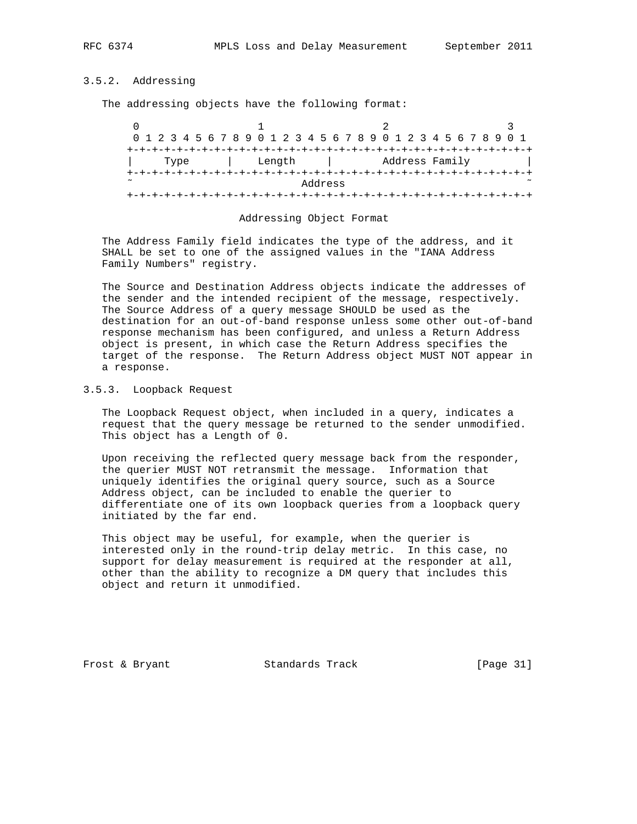## 3.5.2. Addressing

The addressing objects have the following format:

|        |  |      |  |  |  |  |        |  |         |  | 0 1 2 3 4 5 6 7 8 9 0 1 2 3 4 5 6 7 8 9 0 1 2 3 4 5 6 7 8 9 0 1 |  |  |                |  |  |  |  |
|--------|--|------|--|--|--|--|--------|--|---------|--|-----------------------------------------------------------------|--|--|----------------|--|--|--|--|
|        |  |      |  |  |  |  |        |  |         |  |                                                                 |  |  |                |  |  |  |  |
|        |  | Type |  |  |  |  | Length |  |         |  |                                                                 |  |  | Address Family |  |  |  |  |
|        |  |      |  |  |  |  |        |  |         |  | +-+-+-+-+-+-+-+-+-+-                                            |  |  |                |  |  |  |  |
| $\sim$ |  |      |  |  |  |  |        |  | Address |  |                                                                 |  |  |                |  |  |  |  |
|        |  |      |  |  |  |  |        |  |         |  |                                                                 |  |  |                |  |  |  |  |

#### Addressing Object Format

 The Address Family field indicates the type of the address, and it SHALL be set to one of the assigned values in the "IANA Address Family Numbers" registry.

 The Source and Destination Address objects indicate the addresses of the sender and the intended recipient of the message, respectively. The Source Address of a query message SHOULD be used as the destination for an out-of-band response unless some other out-of-band response mechanism has been configured, and unless a Return Address object is present, in which case the Return Address specifies the target of the response. The Return Address object MUST NOT appear in a response.

## 3.5.3. Loopback Request

 The Loopback Request object, when included in a query, indicates a request that the query message be returned to the sender unmodified. This object has a Length of 0.

 Upon receiving the reflected query message back from the responder, the querier MUST NOT retransmit the message. Information that uniquely identifies the original query source, such as a Source Address object, can be included to enable the querier to differentiate one of its own loopback queries from a loopback query initiated by the far end.

 This object may be useful, for example, when the querier is interested only in the round-trip delay metric. In this case, no support for delay measurement is required at the responder at all, other than the ability to recognize a DM query that includes this object and return it unmodified.

Frost & Bryant Standards Track [Page 31]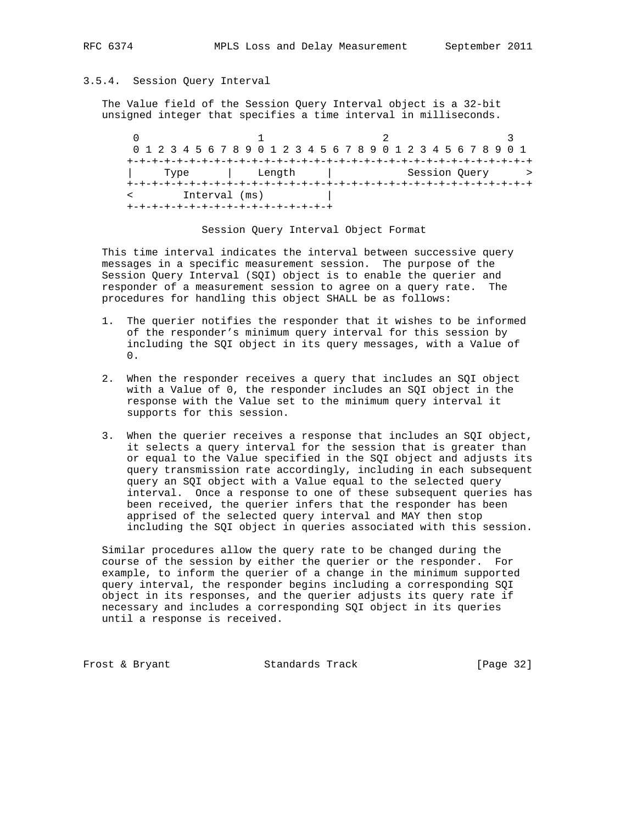## 3.5.4. Session Query Interval

 The Value field of the Session Query Interval object is a 32-bit unsigned integer that specifies a time interval in milliseconds.

 $0$  1 2 3 0 1 2 3 4 5 6 7 8 9 0 1 2 3 4 5 6 7 8 9 0 1 2 3 4 5 6 7 8 9 0 1 +-+-+-+-+-+-+-+-+-+-+-+-+-+-+-+-+-+-+-+-+-+-+-+-+-+-+-+-+-+-+-+-+ | Type | Length | Session Query > +-+-+-+-+-+-+-+-+-+-+-+-+-+-+-+-+-+-+-+-+-+-+-+-+-+-+-+-+-+-+-+-+ < Interval (ms) | +-+-+-+-+-+-+-+-+-+-+-+-+-+-+-+-+

Session Query Interval Object Format

 This time interval indicates the interval between successive query messages in a specific measurement session. The purpose of the Session Query Interval (SQI) object is to enable the querier and responder of a measurement session to agree on a query rate. The procedures for handling this object SHALL be as follows:

- 1. The querier notifies the responder that it wishes to be informed of the responder's minimum query interval for this session by including the SQI object in its query messages, with a Value of  $\Omega$ .
- 2. When the responder receives a query that includes an SQI object with a Value of 0, the responder includes an SQI object in the response with the Value set to the minimum query interval it supports for this session.
- 3. When the querier receives a response that includes an SQI object, it selects a query interval for the session that is greater than or equal to the Value specified in the SQI object and adjusts its query transmission rate accordingly, including in each subsequent query an SQI object with a Value equal to the selected query interval. Once a response to one of these subsequent queries has been received, the querier infers that the responder has been apprised of the selected query interval and MAY then stop including the SQI object in queries associated with this session.

 Similar procedures allow the query rate to be changed during the course of the session by either the querier or the responder. For example, to inform the querier of a change in the minimum supported query interval, the responder begins including a corresponding SQI object in its responses, and the querier adjusts its query rate if necessary and includes a corresponding SQI object in its queries until a response is received.

Frost & Bryant Standards Track [Page 32]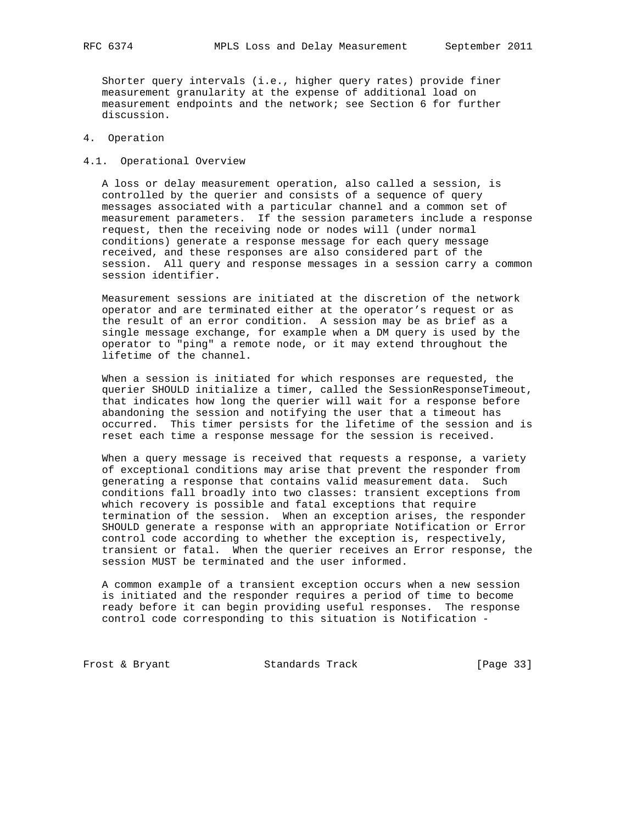Shorter query intervals (i.e., higher query rates) provide finer measurement granularity at the expense of additional load on measurement endpoints and the network; see Section 6 for further discussion.

## 4. Operation

4.1. Operational Overview

 A loss or delay measurement operation, also called a session, is controlled by the querier and consists of a sequence of query messages associated with a particular channel and a common set of measurement parameters. If the session parameters include a response request, then the receiving node or nodes will (under normal conditions) generate a response message for each query message received, and these responses are also considered part of the session. All query and response messages in a session carry a common session identifier.

 Measurement sessions are initiated at the discretion of the network operator and are terminated either at the operator's request or as the result of an error condition. A session may be as brief as a single message exchange, for example when a DM query is used by the operator to "ping" a remote node, or it may extend throughout the lifetime of the channel.

 When a session is initiated for which responses are requested, the querier SHOULD initialize a timer, called the SessionResponseTimeout, that indicates how long the querier will wait for a response before abandoning the session and notifying the user that a timeout has occurred. This timer persists for the lifetime of the session and is reset each time a response message for the session is received.

 When a query message is received that requests a response, a variety of exceptional conditions may arise that prevent the responder from generating a response that contains valid measurement data. Such conditions fall broadly into two classes: transient exceptions from which recovery is possible and fatal exceptions that require termination of the session. When an exception arises, the responder SHOULD generate a response with an appropriate Notification or Error control code according to whether the exception is, respectively, transient or fatal. When the querier receives an Error response, the session MUST be terminated and the user informed.

 A common example of a transient exception occurs when a new session is initiated and the responder requires a period of time to become ready before it can begin providing useful responses. The response control code corresponding to this situation is Notification -

Frost & Bryant Standards Track [Page 33]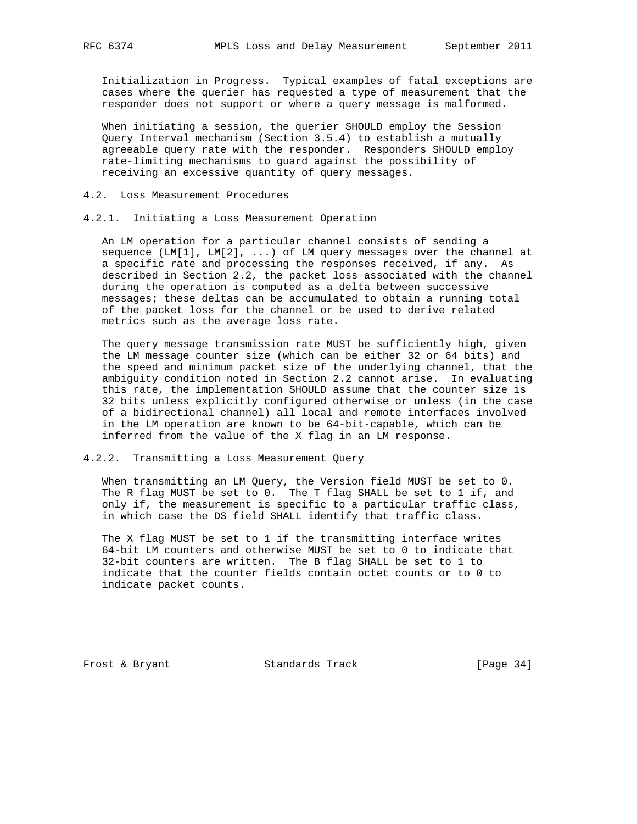Initialization in Progress. Typical examples of fatal exceptions are cases where the querier has requested a type of measurement that the responder does not support or where a query message is malformed.

 When initiating a session, the querier SHOULD employ the Session Query Interval mechanism (Section 3.5.4) to establish a mutually agreeable query rate with the responder. Responders SHOULD employ rate-limiting mechanisms to guard against the possibility of receiving an excessive quantity of query messages.

## 4.2. Loss Measurement Procedures

4.2.1. Initiating a Loss Measurement Operation

 An LM operation for a particular channel consists of sending a sequence (LM[1], LM[2], ...) of LM query messages over the channel at a specific rate and processing the responses received, if any. As described in Section 2.2, the packet loss associated with the channel during the operation is computed as a delta between successive messages; these deltas can be accumulated to obtain a running total of the packet loss for the channel or be used to derive related metrics such as the average loss rate.

 The query message transmission rate MUST be sufficiently high, given the LM message counter size (which can be either 32 or 64 bits) and the speed and minimum packet size of the underlying channel, that the ambiguity condition noted in Section 2.2 cannot arise. In evaluating this rate, the implementation SHOULD assume that the counter size is 32 bits unless explicitly configured otherwise or unless (in the case of a bidirectional channel) all local and remote interfaces involved in the LM operation are known to be 64-bit-capable, which can be inferred from the value of the X flag in an LM response.

## 4.2.2. Transmitting a Loss Measurement Query

 When transmitting an LM Query, the Version field MUST be set to 0. The R flag MUST be set to 0. The T flag SHALL be set to 1 if, and only if, the measurement is specific to a particular traffic class, in which case the DS field SHALL identify that traffic class.

 The X flag MUST be set to 1 if the transmitting interface writes 64-bit LM counters and otherwise MUST be set to 0 to indicate that 32-bit counters are written. The B flag SHALL be set to 1 to indicate that the counter fields contain octet counts or to 0 to indicate packet counts.

Frost & Bryant Standards Track [Page 34]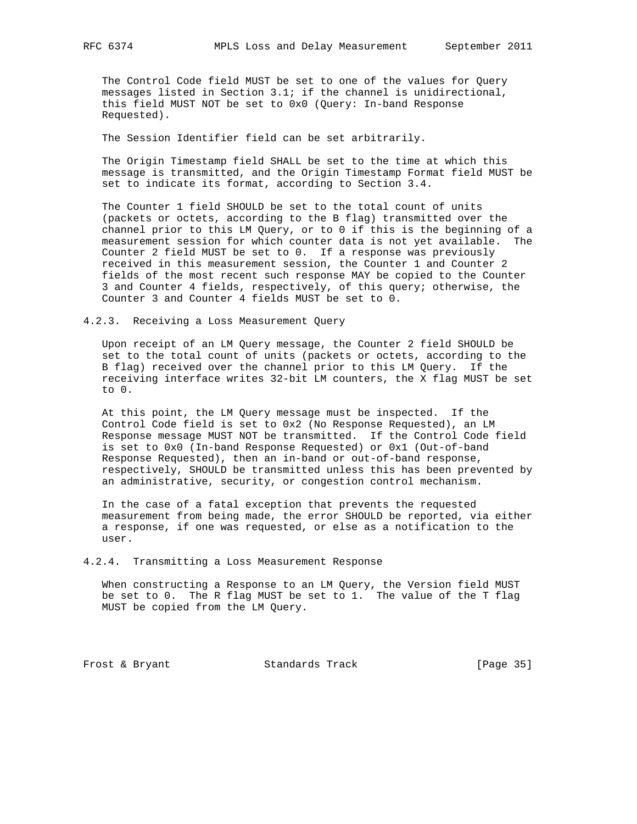The Control Code field MUST be set to one of the values for Query messages listed in Section 3.1; if the channel is unidirectional, this field MUST NOT be set to 0x0 (Query: In-band Response Requested).

The Session Identifier field can be set arbitrarily.

 The Origin Timestamp field SHALL be set to the time at which this message is transmitted, and the Origin Timestamp Format field MUST be set to indicate its format, according to Section 3.4.

 The Counter 1 field SHOULD be set to the total count of units (packets or octets, according to the B flag) transmitted over the channel prior to this LM Query, or to 0 if this is the beginning of a measurement session for which counter data is not yet available. The Counter 2 field MUST be set to 0. If a response was previously received in this measurement session, the Counter 1 and Counter 2 fields of the most recent such response MAY be copied to the Counter 3 and Counter 4 fields, respectively, of this query; otherwise, the Counter 3 and Counter 4 fields MUST be set to 0.

4.2.3. Receiving a Loss Measurement Query

 Upon receipt of an LM Query message, the Counter 2 field SHOULD be set to the total count of units (packets or octets, according to the B flag) received over the channel prior to this LM Query. If the receiving interface writes 32-bit LM counters, the X flag MUST be set to 0.

 At this point, the LM Query message must be inspected. If the Control Code field is set to 0x2 (No Response Requested), an LM Response message MUST NOT be transmitted. If the Control Code field is set to 0x0 (In-band Response Requested) or 0x1 (Out-of-band Response Requested), then an in-band or out-of-band response, respectively, SHOULD be transmitted unless this has been prevented by an administrative, security, or congestion control mechanism.

 In the case of a fatal exception that prevents the requested measurement from being made, the error SHOULD be reported, via either a response, if one was requested, or else as a notification to the user.

4.2.4. Transmitting a Loss Measurement Response

 When constructing a Response to an LM Query, the Version field MUST be set to 0. The R flag MUST be set to 1. The value of the T flag MUST be copied from the LM Query.

Frost & Bryant Standards Track [Page 35]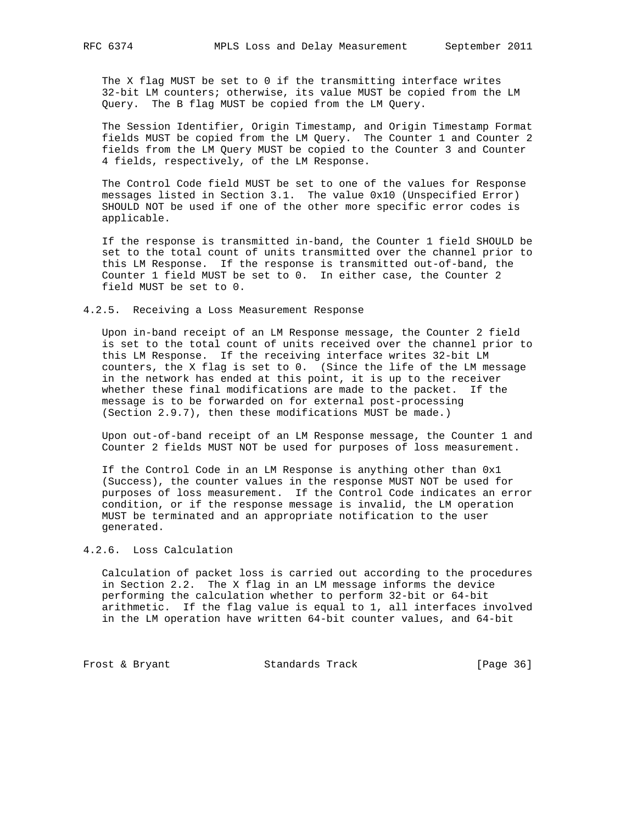The X flag MUST be set to 0 if the transmitting interface writes 32-bit LM counters; otherwise, its value MUST be copied from the LM Query. The B flag MUST be copied from the LM Query.

 The Session Identifier, Origin Timestamp, and Origin Timestamp Format fields MUST be copied from the LM Query. The Counter 1 and Counter 2 fields from the LM Query MUST be copied to the Counter 3 and Counter 4 fields, respectively, of the LM Response.

 The Control Code field MUST be set to one of the values for Response messages listed in Section 3.1. The value 0x10 (Unspecified Error) SHOULD NOT be used if one of the other more specific error codes is applicable.

 If the response is transmitted in-band, the Counter 1 field SHOULD be set to the total count of units transmitted over the channel prior to this LM Response. If the response is transmitted out-of-band, the Counter 1 field MUST be set to 0. In either case, the Counter 2 field MUST be set to 0.

#### 4.2.5. Receiving a Loss Measurement Response

 Upon in-band receipt of an LM Response message, the Counter 2 field is set to the total count of units received over the channel prior to this LM Response. If the receiving interface writes 32-bit LM counters, the X flag is set to 0. (Since the life of the LM message in the network has ended at this point, it is up to the receiver whether these final modifications are made to the packet. If the message is to be forwarded on for external post-processing (Section 2.9.7), then these modifications MUST be made.)

 Upon out-of-band receipt of an LM Response message, the Counter 1 and Counter 2 fields MUST NOT be used for purposes of loss measurement.

 If the Control Code in an LM Response is anything other than 0x1 (Success), the counter values in the response MUST NOT be used for purposes of loss measurement. If the Control Code indicates an error condition, or if the response message is invalid, the LM operation MUST be terminated and an appropriate notification to the user generated.

## 4.2.6. Loss Calculation

 Calculation of packet loss is carried out according to the procedures in Section 2.2. The X flag in an LM message informs the device performing the calculation whether to perform 32-bit or 64-bit arithmetic. If the flag value is equal to 1, all interfaces involved in the LM operation have written 64-bit counter values, and 64-bit

Frost & Bryant Standards Track [Page 36]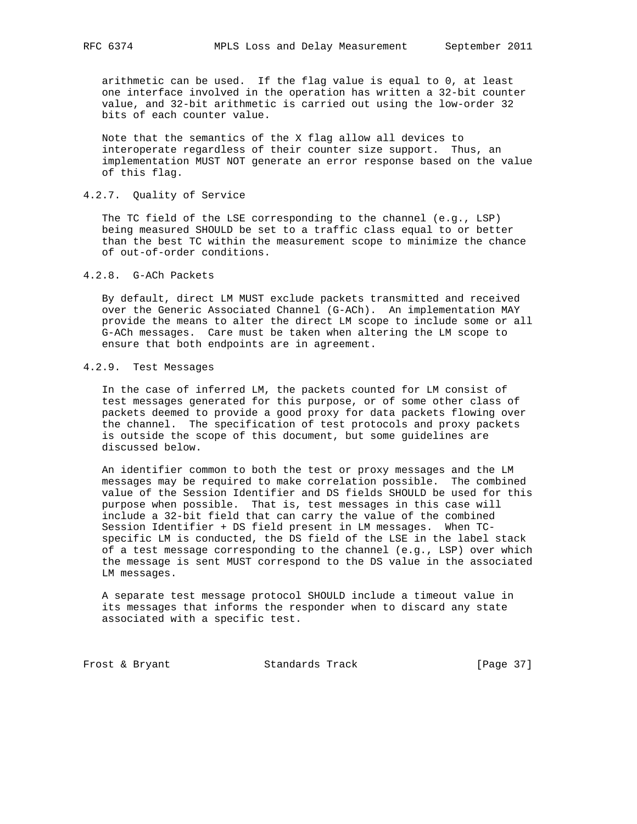arithmetic can be used. If the flag value is equal to 0, at least one interface involved in the operation has written a 32-bit counter value, and 32-bit arithmetic is carried out using the low-order 32 bits of each counter value.

 Note that the semantics of the X flag allow all devices to interoperate regardless of their counter size support. Thus, an implementation MUST NOT generate an error response based on the value of this flag.

## 4.2.7. Quality of Service

 The TC field of the LSE corresponding to the channel (e.g., LSP) being measured SHOULD be set to a traffic class equal to or better than the best TC within the measurement scope to minimize the chance of out-of-order conditions.

## 4.2.8. G-ACh Packets

 By default, direct LM MUST exclude packets transmitted and received over the Generic Associated Channel (G-ACh). An implementation MAY provide the means to alter the direct LM scope to include some or all G-ACh messages. Care must be taken when altering the LM scope to ensure that both endpoints are in agreement.

## 4.2.9. Test Messages

 In the case of inferred LM, the packets counted for LM consist of test messages generated for this purpose, or of some other class of packets deemed to provide a good proxy for data packets flowing over the channel. The specification of test protocols and proxy packets is outside the scope of this document, but some guidelines are discussed below.

 An identifier common to both the test or proxy messages and the LM messages may be required to make correlation possible. The combined value of the Session Identifier and DS fields SHOULD be used for this purpose when possible. That is, test messages in this case will include a 32-bit field that can carry the value of the combined Session Identifier + DS field present in LM messages. When TC specific LM is conducted, the DS field of the LSE in the label stack of a test message corresponding to the channel (e.g., LSP) over which the message is sent MUST correspond to the DS value in the associated LM messages.

 A separate test message protocol SHOULD include a timeout value in its messages that informs the responder when to discard any state associated with a specific test.

Frost & Bryant Standards Track [Page 37]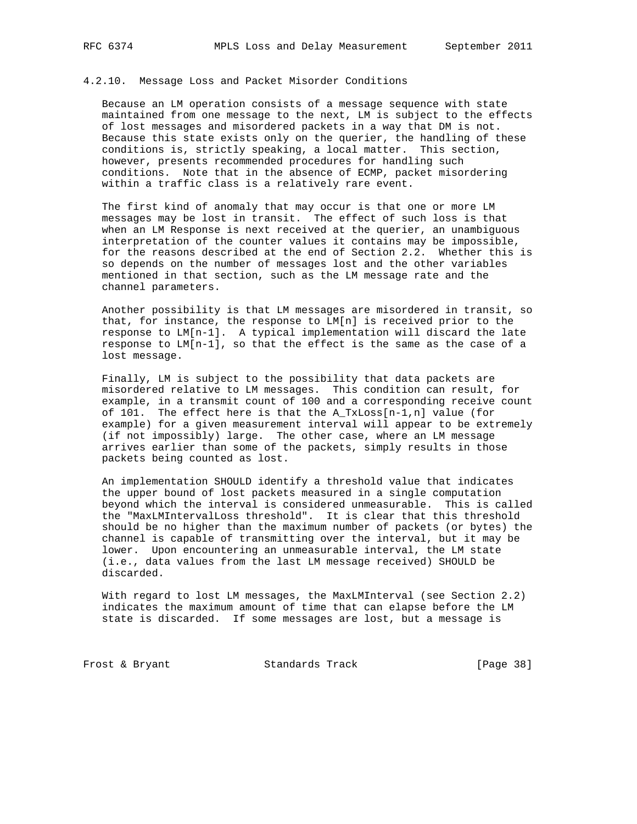## 4.2.10. Message Loss and Packet Misorder Conditions

 Because an LM operation consists of a message sequence with state maintained from one message to the next, LM is subject to the effects of lost messages and misordered packets in a way that DM is not. Because this state exists only on the querier, the handling of these conditions is, strictly speaking, a local matter. This section, however, presents recommended procedures for handling such conditions. Note that in the absence of ECMP, packet misordering within a traffic class is a relatively rare event.

 The first kind of anomaly that may occur is that one or more LM messages may be lost in transit. The effect of such loss is that when an LM Response is next received at the querier, an unambiguous interpretation of the counter values it contains may be impossible, for the reasons described at the end of Section 2.2. Whether this is so depends on the number of messages lost and the other variables mentioned in that section, such as the LM message rate and the channel parameters.

 Another possibility is that LM messages are misordered in transit, so that, for instance, the response to LM[n] is received prior to the response to LM[n-1]. A typical implementation will discard the late response to LM[n-1], so that the effect is the same as the case of a lost message.

 Finally, LM is subject to the possibility that data packets are misordered relative to LM messages. This condition can result, for example, in a transmit count of 100 and a corresponding receive count of 101. The effect here is that the  $A_TxLoss[n-1,n]$  value (for example) for a given measurement interval will appear to be extremely (if not impossibly) large. The other case, where an LM message arrives earlier than some of the packets, simply results in those packets being counted as lost.

 An implementation SHOULD identify a threshold value that indicates the upper bound of lost packets measured in a single computation beyond which the interval is considered unmeasurable. This is called the "MaxLMIntervalLoss threshold". It is clear that this threshold should be no higher than the maximum number of packets (or bytes) the channel is capable of transmitting over the interval, but it may be lower. Upon encountering an unmeasurable interval, the LM state (i.e., data values from the last LM message received) SHOULD be discarded.

 With regard to lost LM messages, the MaxLMInterval (see Section 2.2) indicates the maximum amount of time that can elapse before the LM state is discarded. If some messages are lost, but a message is

Frost & Bryant 6 (Page 38)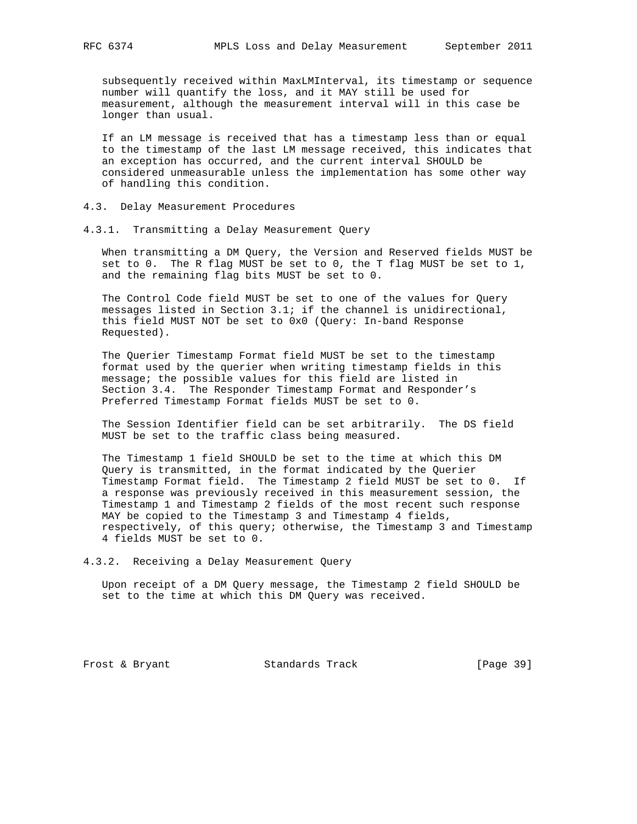subsequently received within MaxLMInterval, its timestamp or sequence number will quantify the loss, and it MAY still be used for measurement, although the measurement interval will in this case be longer than usual.

 If an LM message is received that has a timestamp less than or equal to the timestamp of the last LM message received, this indicates that an exception has occurred, and the current interval SHOULD be considered unmeasurable unless the implementation has some other way of handling this condition.

- 4.3. Delay Measurement Procedures
- 4.3.1. Transmitting a Delay Measurement Query

 When transmitting a DM Query, the Version and Reserved fields MUST be set to 0. The R flag MUST be set to 0, the T flag MUST be set to 1, and the remaining flag bits MUST be set to 0.

 The Control Code field MUST be set to one of the values for Query messages listed in Section 3.1; if the channel is unidirectional, this field MUST NOT be set to 0x0 (Query: In-band Response Requested).

 The Querier Timestamp Format field MUST be set to the timestamp format used by the querier when writing timestamp fields in this message; the possible values for this field are listed in Section 3.4. The Responder Timestamp Format and Responder's Preferred Timestamp Format fields MUST be set to 0.

 The Session Identifier field can be set arbitrarily. The DS field MUST be set to the traffic class being measured.

 The Timestamp 1 field SHOULD be set to the time at which this DM Query is transmitted, in the format indicated by the Querier Timestamp Format field. The Timestamp 2 field MUST be set to 0. If a response was previously received in this measurement session, the Timestamp 1 and Timestamp 2 fields of the most recent such response MAY be copied to the Timestamp 3 and Timestamp 4 fields, respectively, of this query; otherwise, the Timestamp 3 and Timestamp 4 fields MUST be set to 0.

4.3.2. Receiving a Delay Measurement Query

 Upon receipt of a DM Query message, the Timestamp 2 field SHOULD be set to the time at which this DM Query was received.

Frost & Bryant Standards Track [Page 39]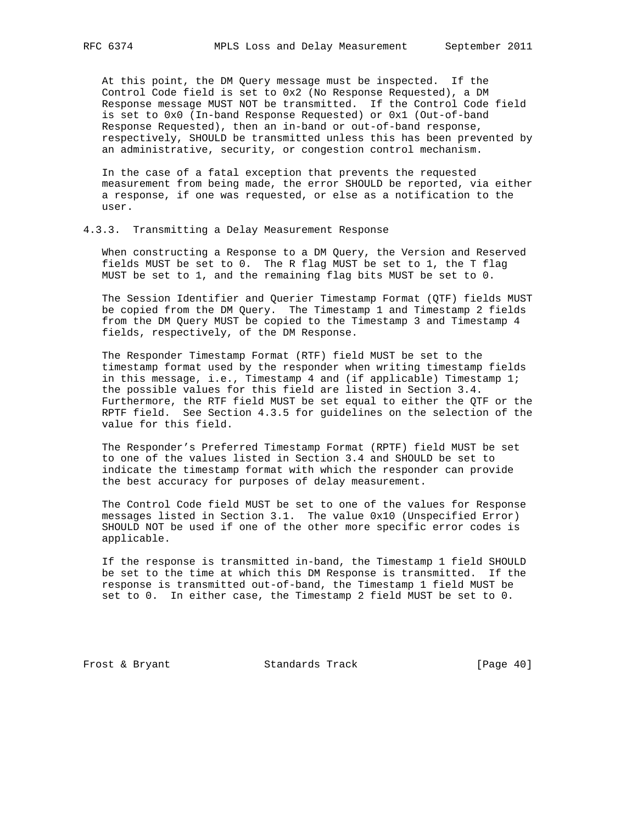At this point, the DM Query message must be inspected. If the Control Code field is set to 0x2 (No Response Requested), a DM Response message MUST NOT be transmitted. If the Control Code field is set to 0x0 (In-band Response Requested) or 0x1 (Out-of-band Response Requested), then an in-band or out-of-band response, respectively, SHOULD be transmitted unless this has been prevented by an administrative, security, or congestion control mechanism.

 In the case of a fatal exception that prevents the requested measurement from being made, the error SHOULD be reported, via either a response, if one was requested, or else as a notification to the user.

### 4.3.3. Transmitting a Delay Measurement Response

 When constructing a Response to a DM Query, the Version and Reserved fields MUST be set to 0. The R flag MUST be set to 1, the T flag MUST be set to 1, and the remaining flag bits MUST be set to 0.

 The Session Identifier and Querier Timestamp Format (QTF) fields MUST be copied from the DM Query. The Timestamp 1 and Timestamp 2 fields from the DM Query MUST be copied to the Timestamp 3 and Timestamp 4 fields, respectively, of the DM Response.

 The Responder Timestamp Format (RTF) field MUST be set to the timestamp format used by the responder when writing timestamp fields in this message, i.e., Timestamp 4 and (if applicable) Timestamp 1; the possible values for this field are listed in Section 3.4. Furthermore, the RTF field MUST be set equal to either the QTF or the RPTF field. See Section 4.3.5 for guidelines on the selection of the value for this field.

 The Responder's Preferred Timestamp Format (RPTF) field MUST be set to one of the values listed in Section 3.4 and SHOULD be set to indicate the timestamp format with which the responder can provide the best accuracy for purposes of delay measurement.

 The Control Code field MUST be set to one of the values for Response messages listed in Section 3.1. The value 0x10 (Unspecified Error) SHOULD NOT be used if one of the other more specific error codes is applicable.

 If the response is transmitted in-band, the Timestamp 1 field SHOULD be set to the time at which this DM Response is transmitted. If the response is transmitted out-of-band, the Timestamp 1 field MUST be set to 0. In either case, the Timestamp 2 field MUST be set to 0.

Frost & Bryant Standards Track [Page 40]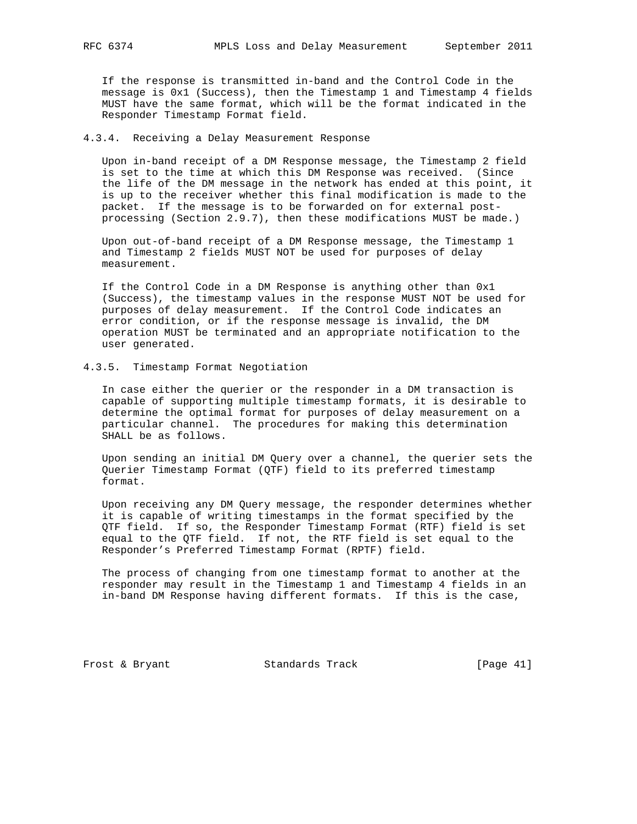If the response is transmitted in-band and the Control Code in the message is 0x1 (Success), then the Timestamp 1 and Timestamp 4 fields MUST have the same format, which will be the format indicated in the Responder Timestamp Format field.

4.3.4. Receiving a Delay Measurement Response

 Upon in-band receipt of a DM Response message, the Timestamp 2 field is set to the time at which this DM Response was received. (Since the life of the DM message in the network has ended at this point, it is up to the receiver whether this final modification is made to the packet. If the message is to be forwarded on for external post processing (Section 2.9.7), then these modifications MUST be made.)

 Upon out-of-band receipt of a DM Response message, the Timestamp 1 and Timestamp 2 fields MUST NOT be used for purposes of delay measurement.

 If the Control Code in a DM Response is anything other than 0x1 (Success), the timestamp values in the response MUST NOT be used for purposes of delay measurement. If the Control Code indicates an error condition, or if the response message is invalid, the DM operation MUST be terminated and an appropriate notification to the user generated.

## 4.3.5. Timestamp Format Negotiation

 In case either the querier or the responder in a DM transaction is capable of supporting multiple timestamp formats, it is desirable to determine the optimal format for purposes of delay measurement on a particular channel. The procedures for making this determination SHALL be as follows.

 Upon sending an initial DM Query over a channel, the querier sets the Querier Timestamp Format (QTF) field to its preferred timestamp format.

 Upon receiving any DM Query message, the responder determines whether it is capable of writing timestamps in the format specified by the QTF field. If so, the Responder Timestamp Format (RTF) field is set equal to the QTF field. If not, the RTF field is set equal to the Responder's Preferred Timestamp Format (RPTF) field.

 The process of changing from one timestamp format to another at the responder may result in the Timestamp 1 and Timestamp 4 fields in an in-band DM Response having different formats. If this is the case,

Frost & Bryant Standards Track [Page 41]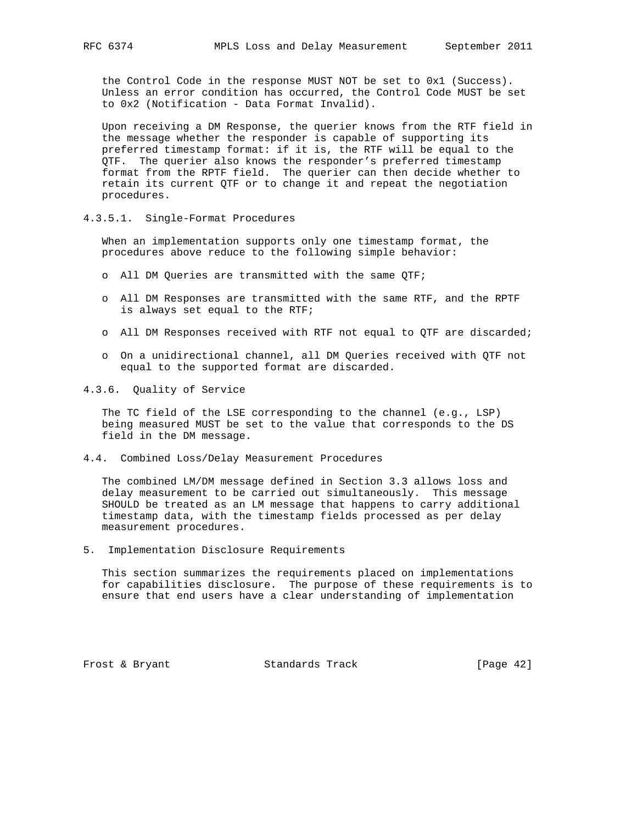the Control Code in the response MUST NOT be set to 0x1 (Success). Unless an error condition has occurred, the Control Code MUST be set to 0x2 (Notification - Data Format Invalid).

 Upon receiving a DM Response, the querier knows from the RTF field in the message whether the responder is capable of supporting its preferred timestamp format: if it is, the RTF will be equal to the QTF. The querier also knows the responder's preferred timestamp format from the RPTF field. The querier can then decide whether to retain its current QTF or to change it and repeat the negotiation procedures.

## 4.3.5.1. Single-Format Procedures

 When an implementation supports only one timestamp format, the procedures above reduce to the following simple behavior:

- o All DM Queries are transmitted with the same QTF;
- o All DM Responses are transmitted with the same RTF, and the RPTF is always set equal to the RTF;
- o All DM Responses received with RTF not equal to QTF are discarded;
- o On a unidirectional channel, all DM Queries received with QTF not equal to the supported format are discarded.
- 4.3.6. Quality of Service

 The TC field of the LSE corresponding to the channel (e.g., LSP) being measured MUST be set to the value that corresponds to the DS field in the DM message.

4.4. Combined Loss/Delay Measurement Procedures

 The combined LM/DM message defined in Section 3.3 allows loss and delay measurement to be carried out simultaneously. This message SHOULD be treated as an LM message that happens to carry additional timestamp data, with the timestamp fields processed as per delay measurement procedures.

5. Implementation Disclosure Requirements

 This section summarizes the requirements placed on implementations for capabilities disclosure. The purpose of these requirements is to ensure that end users have a clear understanding of implementation

Frost & Bryant Standards Track [Page 42]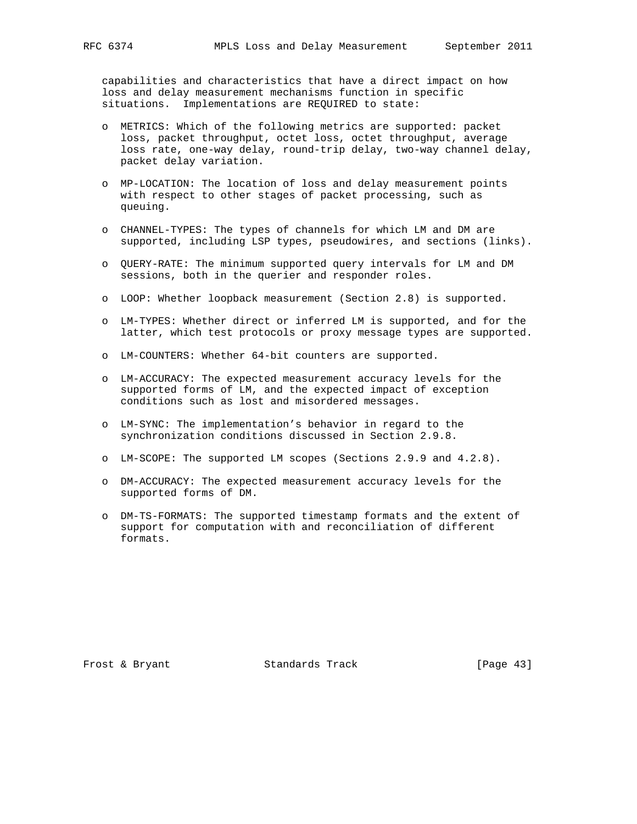capabilities and characteristics that have a direct impact on how loss and delay measurement mechanisms function in specific situations. Implementations are REQUIRED to state:

- o METRICS: Which of the following metrics are supported: packet loss, packet throughput, octet loss, octet throughput, average loss rate, one-way delay, round-trip delay, two-way channel delay, packet delay variation.
- o MP-LOCATION: The location of loss and delay measurement points with respect to other stages of packet processing, such as queuing.
- o CHANNEL-TYPES: The types of channels for which LM and DM are supported, including LSP types, pseudowires, and sections (links).
- o QUERY-RATE: The minimum supported query intervals for LM and DM sessions, both in the querier and responder roles.
- o LOOP: Whether loopback measurement (Section 2.8) is supported.
- o LM-TYPES: Whether direct or inferred LM is supported, and for the latter, which test protocols or proxy message types are supported.
- o LM-COUNTERS: Whether 64-bit counters are supported.
- o LM-ACCURACY: The expected measurement accuracy levels for the supported forms of LM, and the expected impact of exception conditions such as lost and misordered messages.
- o LM-SYNC: The implementation's behavior in regard to the synchronization conditions discussed in Section 2.9.8.
- o LM-SCOPE: The supported LM scopes (Sections 2.9.9 and 4.2.8).
- o DM-ACCURACY: The expected measurement accuracy levels for the supported forms of DM.
- o DM-TS-FORMATS: The supported timestamp formats and the extent of support for computation with and reconciliation of different formats.

Frost & Bryant Standards Track [Page 43]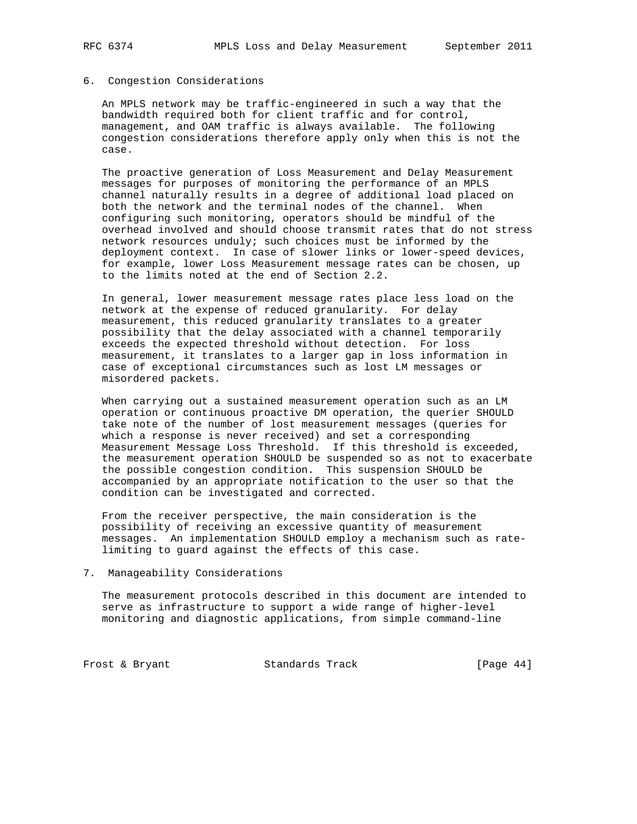## 6. Congestion Considerations

 An MPLS network may be traffic-engineered in such a way that the bandwidth required both for client traffic and for control, management, and OAM traffic is always available. The following congestion considerations therefore apply only when this is not the case.

 The proactive generation of Loss Measurement and Delay Measurement messages for purposes of monitoring the performance of an MPLS channel naturally results in a degree of additional load placed on both the network and the terminal nodes of the channel. When configuring such monitoring, operators should be mindful of the overhead involved and should choose transmit rates that do not stress network resources unduly; such choices must be informed by the deployment context. In case of slower links or lower-speed devices, for example, lower Loss Measurement message rates can be chosen, up to the limits noted at the end of Section 2.2.

 In general, lower measurement message rates place less load on the network at the expense of reduced granularity. For delay measurement, this reduced granularity translates to a greater possibility that the delay associated with a channel temporarily exceeds the expected threshold without detection. For loss measurement, it translates to a larger gap in loss information in case of exceptional circumstances such as lost LM messages or misordered packets.

 When carrying out a sustained measurement operation such as an LM operation or continuous proactive DM operation, the querier SHOULD take note of the number of lost measurement messages (queries for which a response is never received) and set a corresponding Measurement Message Loss Threshold. If this threshold is exceeded, the measurement operation SHOULD be suspended so as not to exacerbate the possible congestion condition. This suspension SHOULD be accompanied by an appropriate notification to the user so that the condition can be investigated and corrected.

 From the receiver perspective, the main consideration is the possibility of receiving an excessive quantity of measurement messages. An implementation SHOULD employ a mechanism such as rate limiting to guard against the effects of this case.

7. Manageability Considerations

 The measurement protocols described in this document are intended to serve as infrastructure to support a wide range of higher-level monitoring and diagnostic applications, from simple command-line

Frost & Bryant Standards Track [Page 44]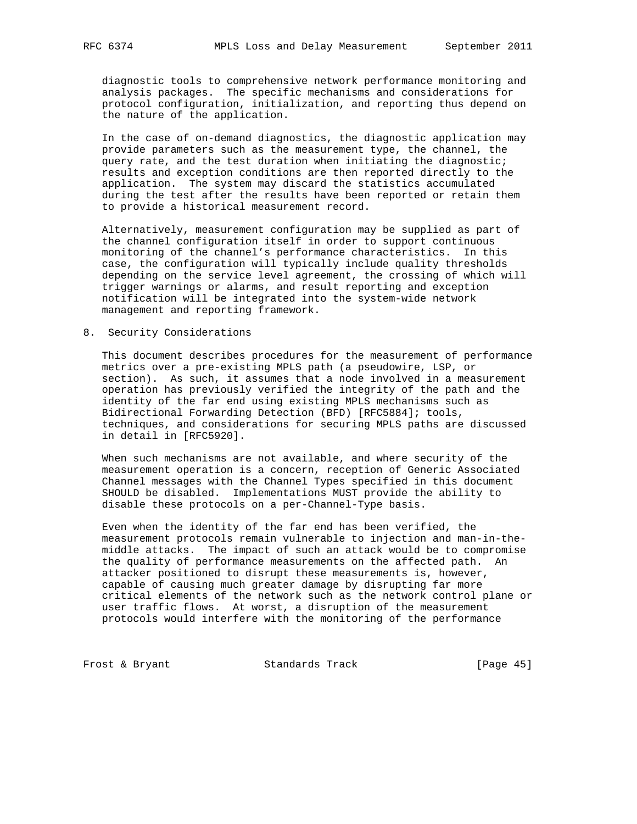diagnostic tools to comprehensive network performance monitoring and analysis packages. The specific mechanisms and considerations for protocol configuration, initialization, and reporting thus depend on the nature of the application.

 In the case of on-demand diagnostics, the diagnostic application may provide parameters such as the measurement type, the channel, the query rate, and the test duration when initiating the diagnostic; results and exception conditions are then reported directly to the application. The system may discard the statistics accumulated during the test after the results have been reported or retain them to provide a historical measurement record.

 Alternatively, measurement configuration may be supplied as part of the channel configuration itself in order to support continuous monitoring of the channel's performance characteristics. In this case, the configuration will typically include quality thresholds depending on the service level agreement, the crossing of which will trigger warnings or alarms, and result reporting and exception notification will be integrated into the system-wide network management and reporting framework.

## 8. Security Considerations

 This document describes procedures for the measurement of performance metrics over a pre-existing MPLS path (a pseudowire, LSP, or section). As such, it assumes that a node involved in a measurement operation has previously verified the integrity of the path and the identity of the far end using existing MPLS mechanisms such as Bidirectional Forwarding Detection (BFD) [RFC5884]; tools, techniques, and considerations for securing MPLS paths are discussed in detail in [RFC5920].

 When such mechanisms are not available, and where security of the measurement operation is a concern, reception of Generic Associated Channel messages with the Channel Types specified in this document SHOULD be disabled. Implementations MUST provide the ability to disable these protocols on a per-Channel-Type basis.

 Even when the identity of the far end has been verified, the measurement protocols remain vulnerable to injection and man-in-the middle attacks. The impact of such an attack would be to compromise the quality of performance measurements on the affected path. An attacker positioned to disrupt these measurements is, however, capable of causing much greater damage by disrupting far more critical elements of the network such as the network control plane or user traffic flows. At worst, a disruption of the measurement protocols would interfere with the monitoring of the performance

Frost & Bryant Standards Track [Page 45]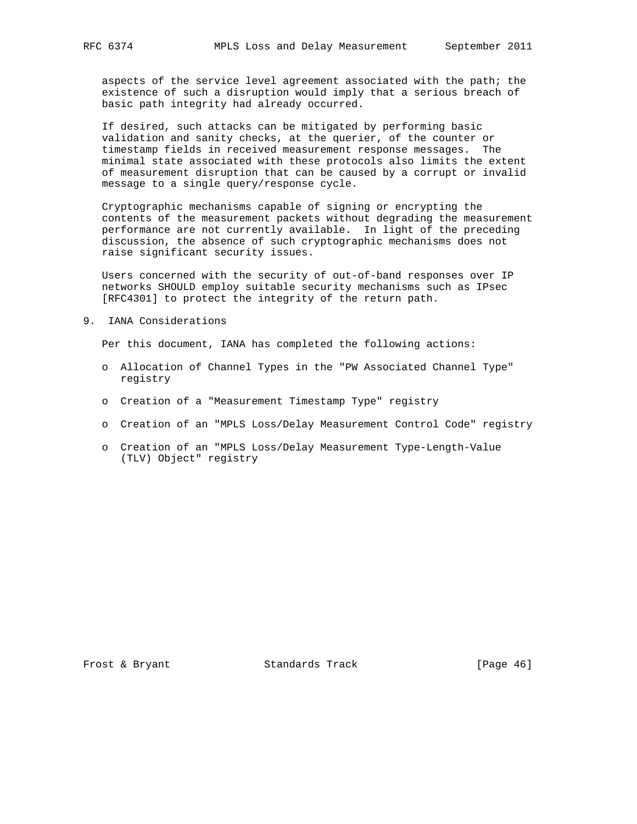aspects of the service level agreement associated with the path; the existence of such a disruption would imply that a serious breach of basic path integrity had already occurred.

 If desired, such attacks can be mitigated by performing basic validation and sanity checks, at the querier, of the counter or timestamp fields in received measurement response messages. The minimal state associated with these protocols also limits the extent of measurement disruption that can be caused by a corrupt or invalid message to a single query/response cycle.

 Cryptographic mechanisms capable of signing or encrypting the contents of the measurement packets without degrading the measurement performance are not currently available. In light of the preceding discussion, the absence of such cryptographic mechanisms does not raise significant security issues.

 Users concerned with the security of out-of-band responses over IP networks SHOULD employ suitable security mechanisms such as IPsec [RFC4301] to protect the integrity of the return path.

9. IANA Considerations

Per this document, IANA has completed the following actions:

- o Allocation of Channel Types in the "PW Associated Channel Type" registry
- o Creation of a "Measurement Timestamp Type" registry
- o Creation of an "MPLS Loss/Delay Measurement Control Code" registry
- o Creation of an "MPLS Loss/Delay Measurement Type-Length-Value (TLV) Object" registry

Frost & Bryant Standards Track [Page 46]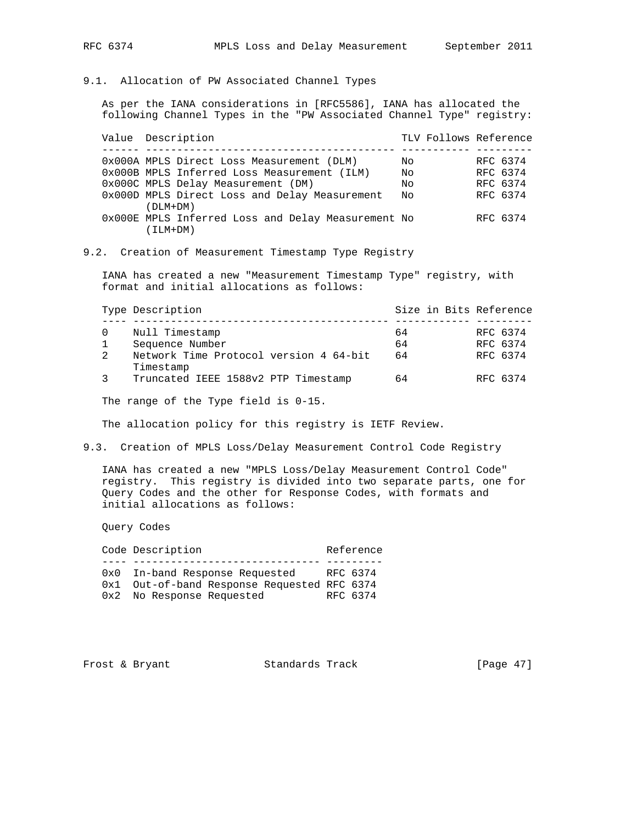## 9.1. Allocation of PW Associated Channel Types

 As per the IANA considerations in [RFC5586], IANA has allocated the following Channel Types in the "PW Associated Channel Type" registry:

Value Description  $TLV$  Follows Reference ------ ---------------------------------------- ----------- --------- 0x000A MPLS Direct Loss Measurement (DLM) No RFC 6374 0x000B MPLS Inferred Loss Measurement (ILM) No RFC 6374 0x000C MPLS Delay Measurement (DM) No RFC 6374 0x000D MPLS Direct Loss and Delay Measurement No RFC 6374 (DLM+DM) 0x000E MPLS Inferred Loss and Delay Measurement No RFC 6374 (ILM+DM)

## 9.2. Creation of Measurement Timestamp Type Registry

 IANA has created a new "Measurement Timestamp Type" registry, with format and initial allocations as follows:

|   | Type Description                                    | Size in Bits Reference |          |
|---|-----------------------------------------------------|------------------------|----------|
|   | Null Timestamp                                      | 64                     | RFC 6374 |
|   | Sequence Number                                     | 64                     | RFC 6374 |
| 2 | Network Time Protocol version 4 64-bit<br>Timestamp | 64                     | RFC 6374 |
|   | Truncated IEEE 1588v2 PTP Timestamp                 | 64                     | RFC 6374 |

The range of the Type field is 0-15.

The allocation policy for this registry is IETF Review.

## 9.3. Creation of MPLS Loss/Delay Measurement Control Code Registry

 IANA has created a new "MPLS Loss/Delay Measurement Control Code" registry. This registry is divided into two separate parts, one for Query Codes and the other for Response Codes, with formats and initial allocations as follows:

Query Codes

| 0x0 In-band Response Requested<br>RFC 6374<br>0x1 Out-of-band Response Requested RFC 6374<br>0x2 No Response Requested<br>RFC 6374 | Code Description |  |  | Reference |  |
|------------------------------------------------------------------------------------------------------------------------------------|------------------|--|--|-----------|--|
|                                                                                                                                    |                  |  |  |           |  |
|                                                                                                                                    |                  |  |  |           |  |

Frost & Bryant Standards Track [Page 47]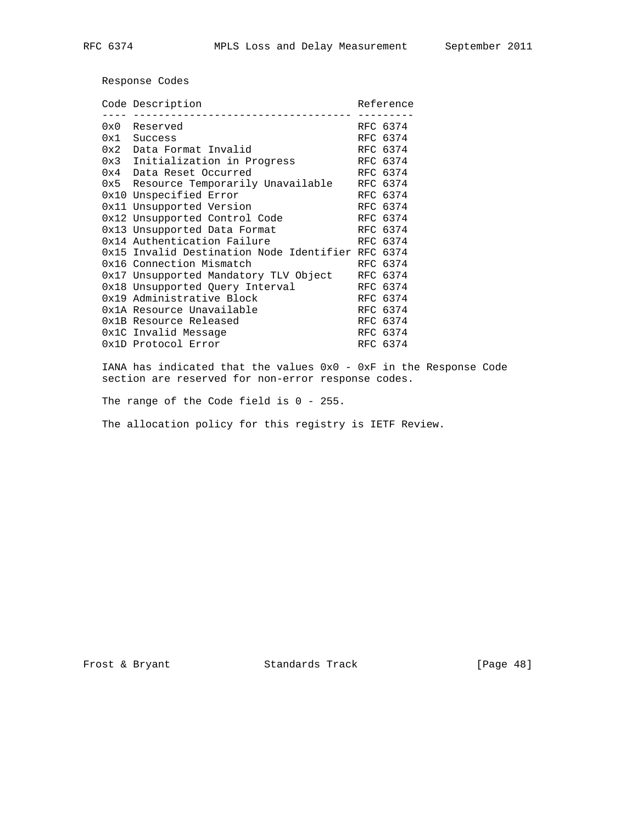Response Codes

|      | Code Description                                  |  | Reference |  |
|------|---------------------------------------------------|--|-----------|--|
| 0x0  | Reserved                                          |  | RFC 6374  |  |
| 0x1  | Success                                           |  | RFC 6374  |  |
| 0x2  | Data Format Invalid                               |  | RFC 6374  |  |
|      | 0x3 Initialization in Progress                    |  | RFC 6374  |  |
| 0x4  | Data Reset Occurred                               |  | RFC 6374  |  |
| 0x5  | Resource Temporarily Unavailable                  |  | RFC 6374  |  |
| 0x10 | Unspecified Error                                 |  | RFC 6374  |  |
|      | 0x11 Unsupported Version                          |  | RFC 6374  |  |
|      | 0x12 Unsupported Control Code                     |  | RFC 6374  |  |
|      | 0x13 Unsupported Data Format                      |  | RFC 6374  |  |
|      | 0x14 Authentication Failure                       |  | RFC 6374  |  |
|      | 0x15 Invalid Destination Node Identifier RFC 6374 |  |           |  |
|      | 0x16 Connection Mismatch                          |  | RFC 6374  |  |
|      | 0x17 Unsupported Mandatory TLV Object             |  | RFC 6374  |  |
|      | 0x18 Unsupported Query Interval                   |  | RFC 6374  |  |
|      | 0x19 Administrative Block                         |  | RFC 6374  |  |
|      | 0x1A Resource Unavailable                         |  | RFC 6374  |  |
|      | 0x1B Resource Released                            |  | RFC 6374  |  |
|      | 0x1C Invalid Message                              |  | RFC 6374  |  |
|      | 0x1D Protocol Error                               |  | RFC 6374  |  |
|      |                                                   |  |           |  |

 IANA has indicated that the values 0x0 - 0xF in the Response Code section are reserved for non-error response codes.

The range of the Code field is 0 - 255.

The allocation policy for this registry is IETF Review.

Frost & Bryant Standards Track [Page 48]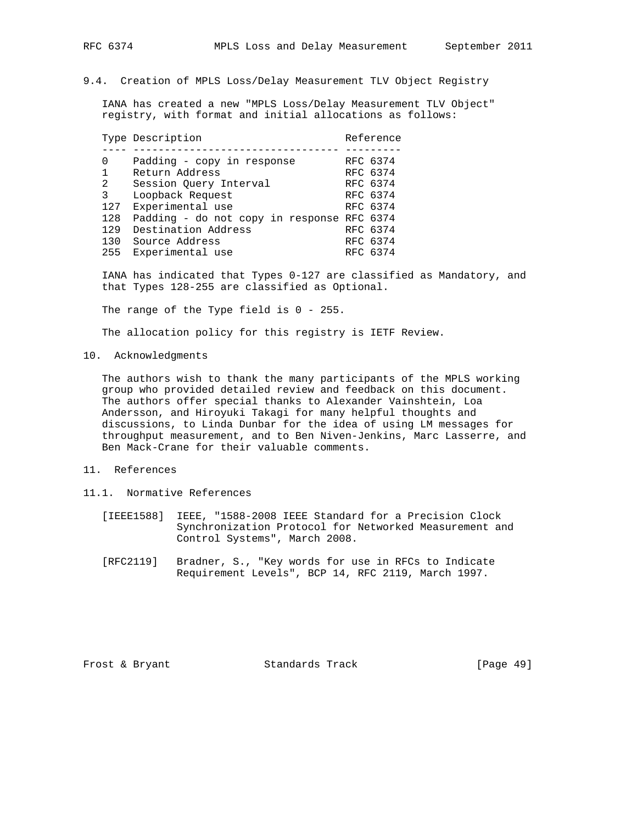## 9.4. Creation of MPLS Loss/Delay Measurement TLV Object Registry

 IANA has created a new "MPLS Loss/Delay Measurement TLV Object" registry, with format and initial allocations as follows:

|     | Type Description                           |  | Reference |  |
|-----|--------------------------------------------|--|-----------|--|
|     |                                            |  |           |  |
| 0   | Padding - copy in response                 |  | RFC 6374  |  |
| 1   | Return Address                             |  | RFC 6374  |  |
| 2   | Session Ouery Interval                     |  | RFC 6374  |  |
| 3   | Loopback Request                           |  | RFC 6374  |  |
| 127 | Experimental use                           |  | RFC 6374  |  |
| 128 | Padding - do not copy in response RFC 6374 |  |           |  |
| 129 | Destination Address                        |  | RFC 6374  |  |
| 130 | Source Address                             |  | RFC 6374  |  |
| 255 | Experimental use                           |  | RFC 6374  |  |
|     |                                            |  |           |  |

 IANA has indicated that Types 0-127 are classified as Mandatory, and that Types 128-255 are classified as Optional.

The range of the Type field is 0 - 255.

The allocation policy for this registry is IETF Review.

10. Acknowledgments

 The authors wish to thank the many participants of the MPLS working group who provided detailed review and feedback on this document. The authors offer special thanks to Alexander Vainshtein, Loa Andersson, and Hiroyuki Takagi for many helpful thoughts and discussions, to Linda Dunbar for the idea of using LM messages for throughput measurement, and to Ben Niven-Jenkins, Marc Lasserre, and Ben Mack-Crane for their valuable comments.

## 11. References

- 11.1. Normative References
	- [IEEE1588] IEEE, "1588-2008 IEEE Standard for a Precision Clock Synchronization Protocol for Networked Measurement and Control Systems", March 2008.
	- [RFC2119] Bradner, S., "Key words for use in RFCs to Indicate Requirement Levels", BCP 14, RFC 2119, March 1997.

Frost & Bryant Standards Track [Page 49]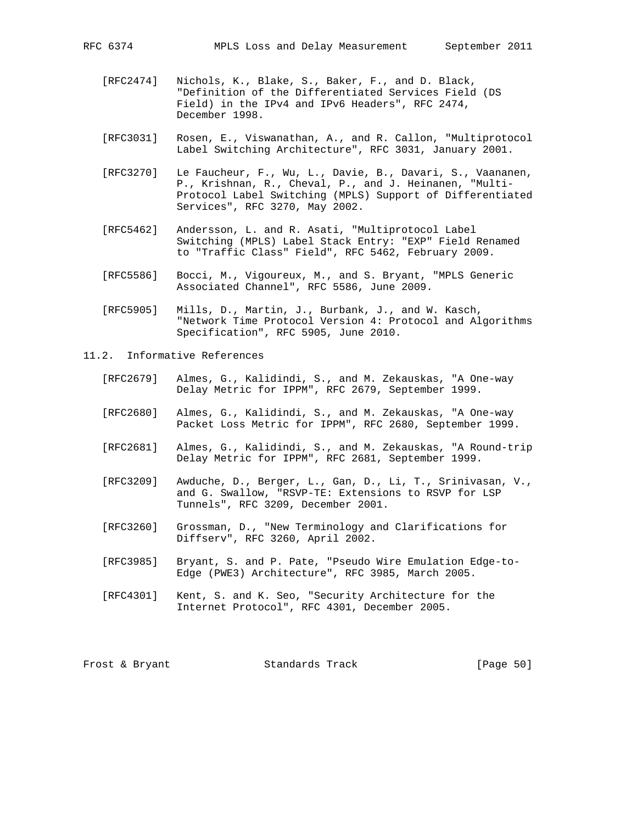- [RFC2474] Nichols, K., Blake, S., Baker, F., and D. Black, "Definition of the Differentiated Services Field (DS Field) in the IPv4 and IPv6 Headers", RFC 2474, December 1998.
- [RFC3031] Rosen, E., Viswanathan, A., and R. Callon, "Multiprotocol Label Switching Architecture", RFC 3031, January 2001.
- [RFC3270] Le Faucheur, F., Wu, L., Davie, B., Davari, S., Vaananen, P., Krishnan, R., Cheval, P., and J. Heinanen, "Multi- Protocol Label Switching (MPLS) Support of Differentiated Services", RFC 3270, May 2002.
- [RFC5462] Andersson, L. and R. Asati, "Multiprotocol Label Switching (MPLS) Label Stack Entry: "EXP" Field Renamed to "Traffic Class" Field", RFC 5462, February 2009.
- [RFC5586] Bocci, M., Vigoureux, M., and S. Bryant, "MPLS Generic Associated Channel", RFC 5586, June 2009.
- [RFC5905] Mills, D., Martin, J., Burbank, J., and W. Kasch, "Network Time Protocol Version 4: Protocol and Algorithms Specification", RFC 5905, June 2010.
- 11.2. Informative References
	- [RFC2679] Almes, G., Kalidindi, S., and M. Zekauskas, "A One-way Delay Metric for IPPM", RFC 2679, September 1999.
	- [RFC2680] Almes, G., Kalidindi, S., and M. Zekauskas, "A One-way Packet Loss Metric for IPPM", RFC 2680, September 1999.
	- [RFC2681] Almes, G., Kalidindi, S., and M. Zekauskas, "A Round-trip Delay Metric for IPPM", RFC 2681, September 1999.
	- [RFC3209] Awduche, D., Berger, L., Gan, D., Li, T., Srinivasan, V., and G. Swallow, "RSVP-TE: Extensions to RSVP for LSP Tunnels", RFC 3209, December 2001.
	- [RFC3260] Grossman, D., "New Terminology and Clarifications for Diffserv", RFC 3260, April 2002.
	- [RFC3985] Bryant, S. and P. Pate, "Pseudo Wire Emulation Edge-to- Edge (PWE3) Architecture", RFC 3985, March 2005.
	- [RFC4301] Kent, S. and K. Seo, "Security Architecture for the Internet Protocol", RFC 4301, December 2005.

| Frost & Bryant |  | Standards Track | [Page 50] |  |
|----------------|--|-----------------|-----------|--|
|----------------|--|-----------------|-----------|--|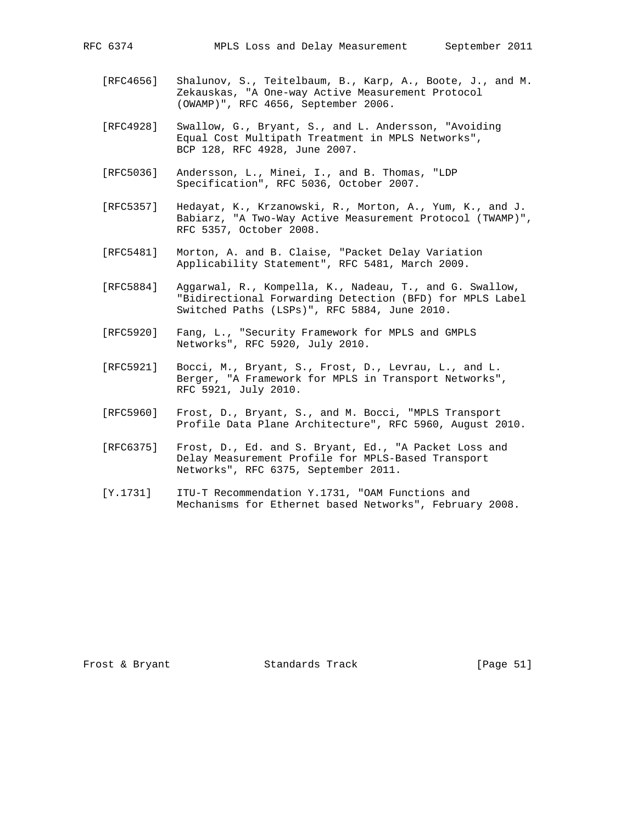- [RFC4656] Shalunov, S., Teitelbaum, B., Karp, A., Boote, J., and M. Zekauskas, "A One-way Active Measurement Protocol (OWAMP)", RFC 4656, September 2006.
- [RFC4928] Swallow, G., Bryant, S., and L. Andersson, "Avoiding Equal Cost Multipath Treatment in MPLS Networks", BCP 128, RFC 4928, June 2007.
- [RFC5036] Andersson, L., Minei, I., and B. Thomas, "LDP Specification", RFC 5036, October 2007.
- [RFC5357] Hedayat, K., Krzanowski, R., Morton, A., Yum, K., and J. Babiarz, "A Two-Way Active Measurement Protocol (TWAMP)", RFC 5357, October 2008.
- [RFC5481] Morton, A. and B. Claise, "Packet Delay Variation Applicability Statement", RFC 5481, March 2009.
- [RFC5884] Aggarwal, R., Kompella, K., Nadeau, T., and G. Swallow, "Bidirectional Forwarding Detection (BFD) for MPLS Label Switched Paths (LSPs)", RFC 5884, June 2010.
- [RFC5920] Fang, L., "Security Framework for MPLS and GMPLS Networks", RFC 5920, July 2010.
- [RFC5921] Bocci, M., Bryant, S., Frost, D., Levrau, L., and L. Berger, "A Framework for MPLS in Transport Networks", RFC 5921, July 2010.
- [RFC5960] Frost, D., Bryant, S., and M. Bocci, "MPLS Transport Profile Data Plane Architecture", RFC 5960, August 2010.
- [RFC6375] Frost, D., Ed. and S. Bryant, Ed., "A Packet Loss and Delay Measurement Profile for MPLS-Based Transport Networks", RFC 6375, September 2011.
- [Y.1731] ITU-T Recommendation Y.1731, "OAM Functions and Mechanisms for Ethernet based Networks", February 2008.

Frost & Bryant Standards Track [Page 51]